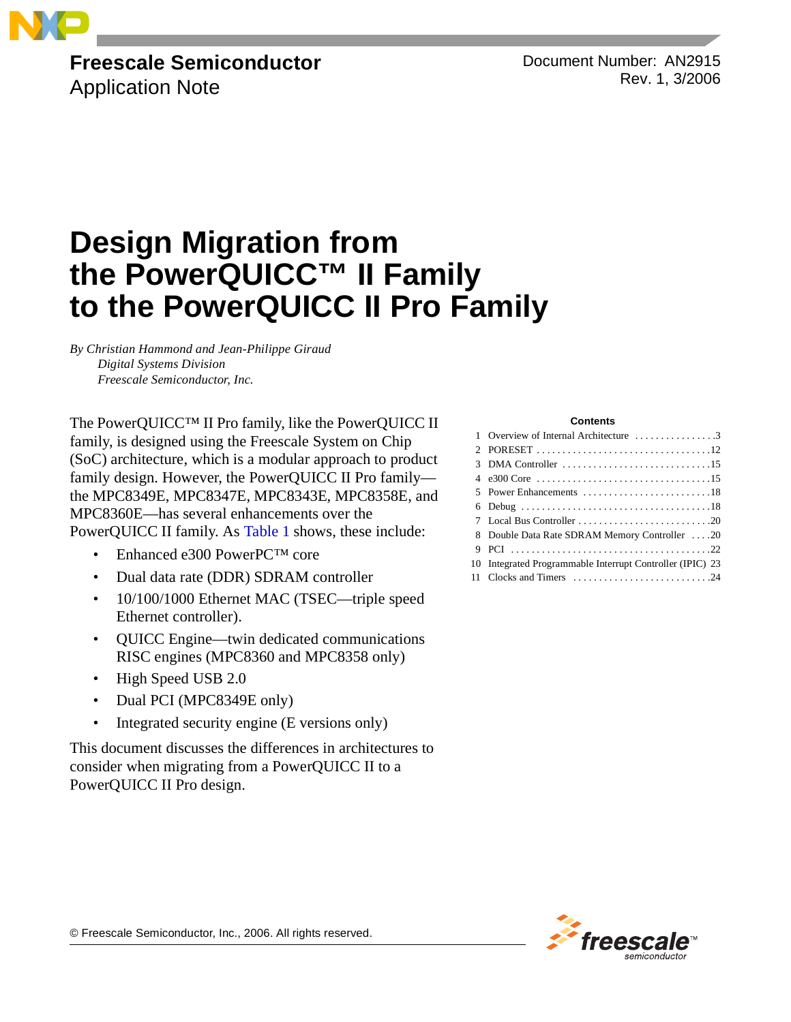

# **Freescale Semiconductor**

Application Note

Document Number: AN2915 Rev. 1, 3/2006

# **Design Migration from the PowerQUICC™ II Family to the PowerQUICC II Pro Family**

*By Christian Hammond and Jean-Philippe Giraud Digital Systems Division Freescale Semiconductor, Inc.*

The PowerQUICC™ II Pro family, like the PowerQUICC II family, is designed using the Freescale System on Chip (SoC) architecture, which is a modular approach to product family design. However, the PowerQUICC II Pro family the MPC8349E, MPC8347E, MPC8343E, MPC8358E, and MPC8360E—has several enhancements over the PowerQUICC II family. As [Table 1](#page-1-0) shows, these include:

- Enhanced e300 PowerPC<sup>TM</sup> core
- Dual data rate (DDR) SDRAM controller
- 10/100/1000 Ethernet MAC (TSEC—triple speed Ethernet controller).
- QUICC Engine—twin dedicated communications RISC engines (MPC8360 and MPC8358 only)
- High Speed USB 2.0
- Dual PCI (MPC8349E only)
- Integrated security engine (E versions only)

This document discusses the differences in architectures to consider when migrating from a PowerQUICC II to a PowerQUICC II Pro design.

#### **Contents**

| 1 Overview of Internal Architecture 3                     |
|-----------------------------------------------------------|
|                                                           |
|                                                           |
|                                                           |
|                                                           |
|                                                           |
|                                                           |
| 8 Double Data Rate SDRAM Memory Controller 20             |
|                                                           |
| 10 Integrated Programmable Interrupt Controller (IPIC) 23 |
|                                                           |
|                                                           |



© Freescale Semiconductor, Inc., 2006. All rights reserved.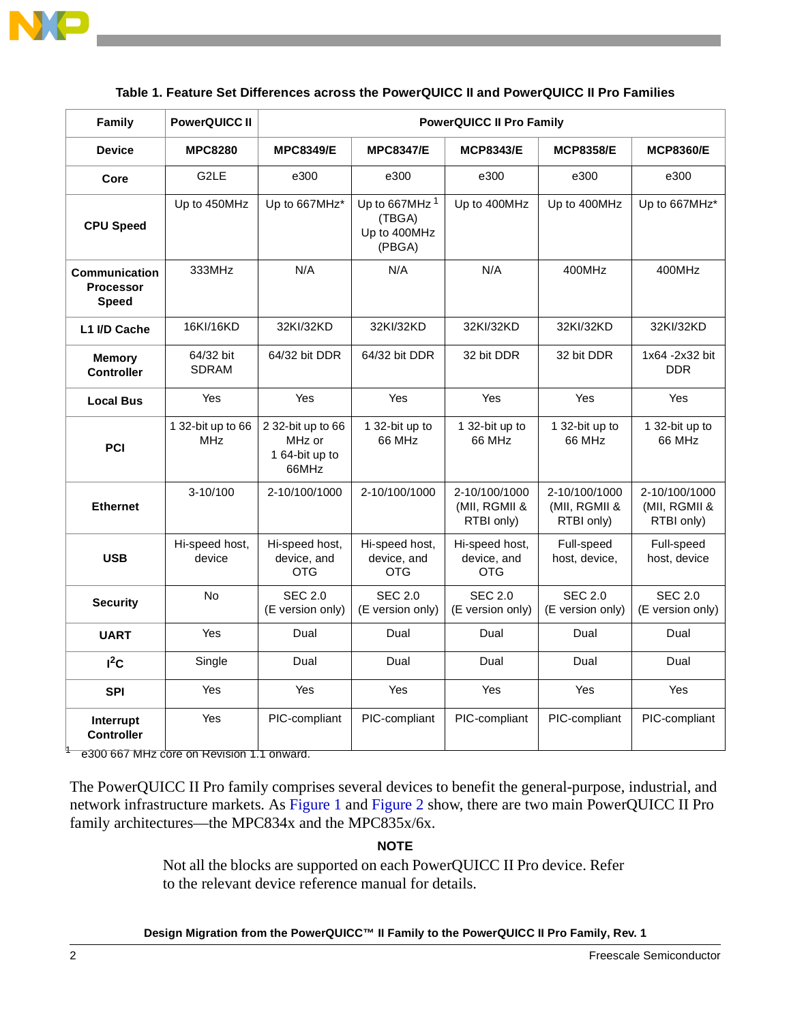

<span id="page-1-0"></span>

| <b>Family</b>                                            | <b>PowerQUICC II</b>            | <b>PowerQUICC II Pro Family</b>                        |                                                               |                                              |                                              |                                              |
|----------------------------------------------------------|---------------------------------|--------------------------------------------------------|---------------------------------------------------------------|----------------------------------------------|----------------------------------------------|----------------------------------------------|
| <b>Device</b>                                            | <b>MPC8280</b>                  | <b>MPC8349/E</b>                                       | <b>MPC8347/E</b>                                              | <b>MCP8343/E</b>                             | <b>MCP8358/E</b>                             | <b>MCP8360/E</b>                             |
| Core                                                     | G <sub>2</sub> LE               | e300                                                   | e300                                                          | e300                                         | e300                                         | e300                                         |
| <b>CPU Speed</b>                                         | Up to 450MHz                    | Up to 667MHz*                                          | Up to 667MHz <sup>1</sup><br>(TBGA)<br>Up to 400MHz<br>(PBGA) | Up to 400MHz                                 | Up to 400MHz                                 | Up to 667MHz*                                |
| <b>Communication</b><br><b>Processor</b><br><b>Speed</b> | 333MHz                          | N/A                                                    | N/A                                                           | N/A                                          | 400MHz                                       | 400MHz                                       |
| L1 I/D Cache                                             | 16KI/16KD                       | 32KI/32KD                                              | 32KI/32KD                                                     | 32KI/32KD                                    | 32KI/32KD                                    | 32KI/32KD                                    |
| <b>Memory</b><br><b>Controller</b>                       | 64/32 bit<br><b>SDRAM</b>       | 64/32 bit DDR                                          | 64/32 bit DDR                                                 | 32 bit DDR                                   | 32 bit DDR                                   | 1x64 -2x32 bit<br><b>DDR</b>                 |
| <b>Local Bus</b>                                         | Yes                             | Yes                                                    | <b>Yes</b>                                                    | <b>Yes</b>                                   | Yes                                          | <b>Yes</b>                                   |
| PCI                                                      | 1 32-bit up to 66<br><b>MHz</b> | 2 32-bit up to 66<br>MHz or<br>1 64-bit up to<br>66MHz | 1 32-bit up to<br>66 MHz                                      | 1 32-bit up to<br>66 MHz                     | 1 32-bit up to<br>66 MHz                     | 1 32-bit up to<br>66 MHz                     |
| <b>Ethernet</b>                                          | $3-10/100$                      | 2-10/100/1000                                          | 2-10/100/1000                                                 | 2-10/100/1000<br>(MII, RGMII &<br>RTBI only) | 2-10/100/1000<br>(MII, RGMII &<br>RTBI only) | 2-10/100/1000<br>(MII, RGMII &<br>RTBI only) |
| <b>USB</b>                                               | Hi-speed host,<br>device        | Hi-speed host,<br>device, and<br><b>OTG</b>            | Hi-speed host,<br>device, and<br><b>OTG</b>                   | Hi-speed host,<br>device, and<br><b>OTG</b>  | Full-speed<br>host, device,                  | Full-speed<br>host, device                   |
| <b>Security</b>                                          | <b>No</b>                       | <b>SEC 2.0</b><br>(E version only)                     | <b>SEC 2.0</b><br>(E version only)                            | <b>SEC 2.0</b><br>(E version only)           | <b>SEC 2.0</b><br>(E version only)           | <b>SEC 2.0</b><br>(E version only)           |
| <b>UART</b>                                              | Yes                             | Dual                                                   | Dual                                                          | Dual                                         | Dual                                         | Dual                                         |
| $I^2C$                                                   | Single                          | Dual                                                   | Dual                                                          | Dual                                         | Dual                                         | Dual                                         |
| <b>SPI</b>                                               | Yes                             | Yes                                                    | Yes                                                           | Yes                                          | Yes                                          | Yes                                          |
| Interrupt<br><b>Controller</b>                           | Yes                             | PIC-compliant                                          | PIC-compliant                                                 | PIC-compliant                                | PIC-compliant                                | PIC-compliant                                |

### **Table 1. Feature Set Differences across the PowerQUICC II and PowerQUICC II Pro Families**

<sup>1</sup> e300 667 MHz core on Revision 1.1 onward.

The PowerQUICC II Pro family comprises several devices to benefit the general-purpose, industrial, and network infrastructure markets. As [Figure 1](#page-2-0) and [Figure 2](#page-2-1) show, there are two main PowerQUICC II Pro family architectures—the MPC834x and the MPC835x/6x.

### **NOTE**

Not all the blocks are supported on each PowerQUICC II Pro device. Refer to the relevant device reference manual for details.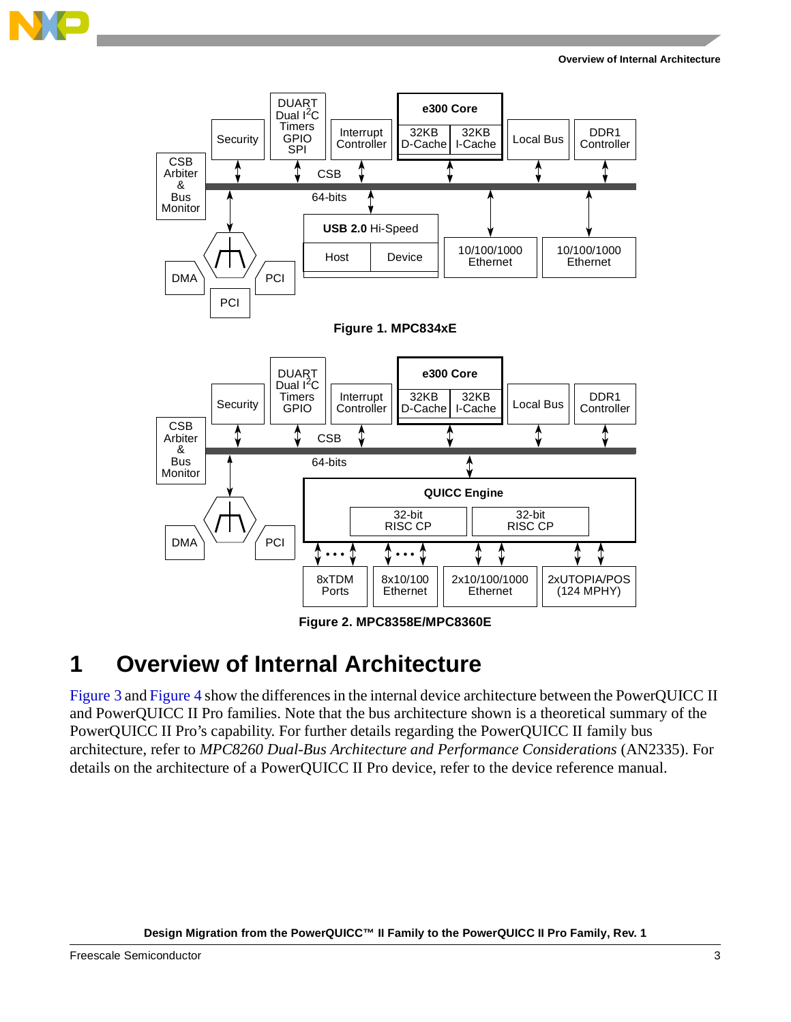

<span id="page-2-0"></span>

**Figure 2. MPC8358E/MPC8360E** 

# <span id="page-2-1"></span>**1 Overview of Internal Architecture**

[Figure 3](#page-3-0) and [Figure 4](#page-3-1) show the differences in the internal device architecture between the PowerQUICC II and PowerQUICC II Pro families. Note that the bus architecture shown is a theoretical summary of the PowerQUICC II Pro's capability. For further details regarding the PowerQUICC II family bus architecture, refer to *MPC8260 Dual-Bus Architecture and Performance Considerations* (AN2335). For details on the architecture of a PowerQUICC II Pro device, refer to the device reference manual.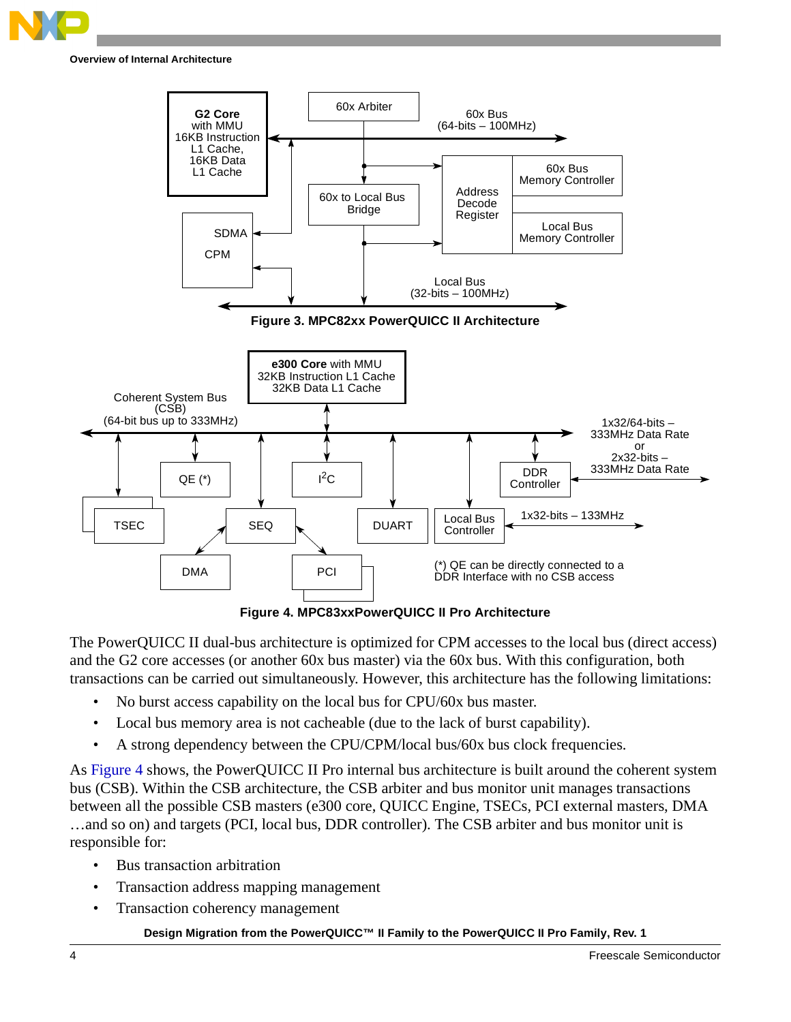

<span id="page-3-0"></span>

**Figure 4. MPC83xxPowerQUICC II Pro Architecture**

<span id="page-3-1"></span>The PowerQUICC II dual-bus architecture is optimized for CPM accesses to the local bus (direct access) and the G2 core accesses (or another 60x bus master) via the 60x bus. With this configuration, both transactions can be carried out simultaneously. However, this architecture has the following limitations:

- No burst access capability on the local bus for CPU/60x bus master.
- Local bus memory area is not cacheable (due to the lack of burst capability).
- A strong dependency between the CPU/CPM/local bus/60x bus clock frequencies.

As [Figure 4](#page-3-1) shows, the PowerQUICC II Pro internal bus architecture is built around the coherent system bus (CSB). Within the CSB architecture, the CSB arbiter and bus monitor unit manages transactions between all the possible CSB masters (e300 core, QUICC Engine, TSECs, PCI external masters, DMA …and so on) and targets (PCI, local bus, DDR controller). The CSB arbiter and bus monitor unit is responsible for:

- Bus transaction arbitration
- Transaction address mapping management
- Transaction coherency management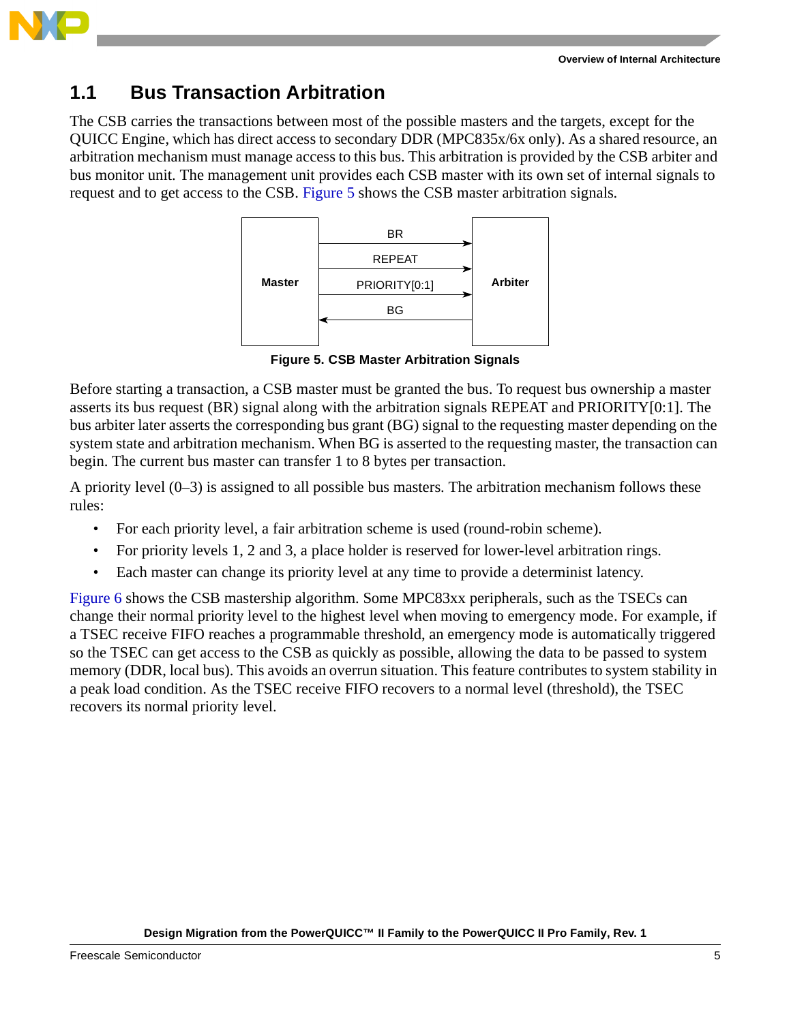

### **1.1 Bus Transaction Arbitration**

The CSB carries the transactions between most of the possible masters and the targets, except for the QUICC Engine, which has direct access to secondary DDR (MPC835x/6x only). As a shared resource, an arbitration mechanism must manage access to this bus. This arbitration is provided by the CSB arbiter and bus monitor unit. The management unit provides each CSB master with its own set of internal signals to request and to get access to the CSB. [Figure 5](#page-4-0) shows the CSB master arbitration signals.



**Figure 5. CSB Master Arbitration Signals**

<span id="page-4-0"></span>Before starting a transaction, a CSB master must be granted the bus. To request bus ownership a master asserts its bus request (BR) signal along with the arbitration signals REPEAT and PRIORITY[0:1]. The bus arbiter later asserts the corresponding bus grant (BG) signal to the requesting master depending on the system state and arbitration mechanism. When BG is asserted to the requesting master, the transaction can begin. The current bus master can transfer 1 to 8 bytes per transaction.

A priority level  $(0-3)$  is assigned to all possible bus masters. The arbitration mechanism follows these rules:

- For each priority level, a fair arbitration scheme is used (round-robin scheme).
- For priority levels 1, 2 and 3, a place holder is reserved for lower-level arbitration rings.
- Each master can change its priority level at any time to provide a determinist latency.

[Figure 6](#page-5-0) shows the CSB mastership algorithm. Some MPC83xx peripherals, such as the TSECs can change their normal priority level to the highest level when moving to emergency mode. For example, if a TSEC receive FIFO reaches a programmable threshold, an emergency mode is automatically triggered so the TSEC can get access to the CSB as quickly as possible, allowing the data to be passed to system memory (DDR, local bus). This avoids an overrun situation. This feature contributes to system stability in a peak load condition. As the TSEC receive FIFO recovers to a normal level (threshold), the TSEC recovers its normal priority level.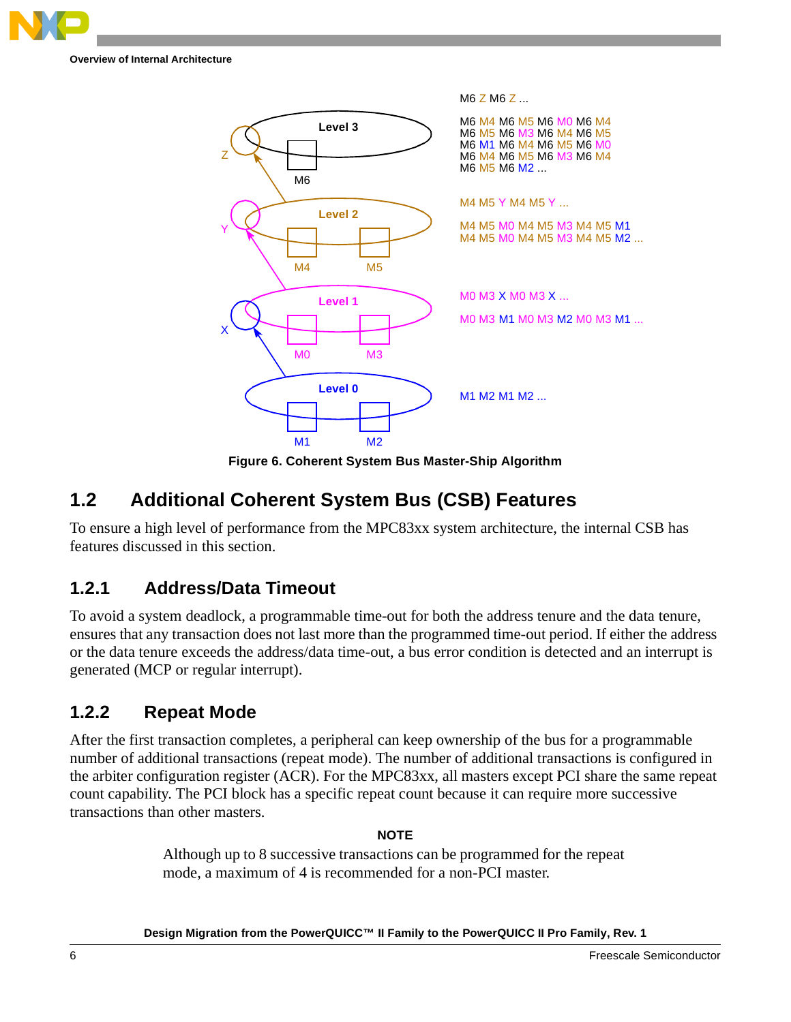

**Overview of Internal Architecture**



**Figure 6. Coherent System Bus Master-Ship Algorithm**

## <span id="page-5-0"></span>**1.2 Additional Coherent System Bus (CSB) Features**

To ensure a high level of performance from the MPC83xx system architecture, the internal CSB has features discussed in this section.

### **1.2.1 Address/Data Timeout**

To avoid a system deadlock, a programmable time-out for both the address tenure and the data tenure, ensures that any transaction does not last more than the programmed time-out period. If either the address or the data tenure exceeds the address/data time-out, a bus error condition is detected and an interrupt is generated (MCP or regular interrupt).

### **1.2.2 Repeat Mode**

After the first transaction completes, a peripheral can keep ownership of the bus for a programmable number of additional transactions (repeat mode). The number of additional transactions is configured in the arbiter configuration register (ACR). For the MPC83xx, all masters except PCI share the same repeat count capability. The PCI block has a specific repeat count because it can require more successive transactions than other masters.

### **NOTE**

Although up to 8 successive transactions can be programmed for the repeat mode, a maximum of 4 is recommended for a non-PCI master.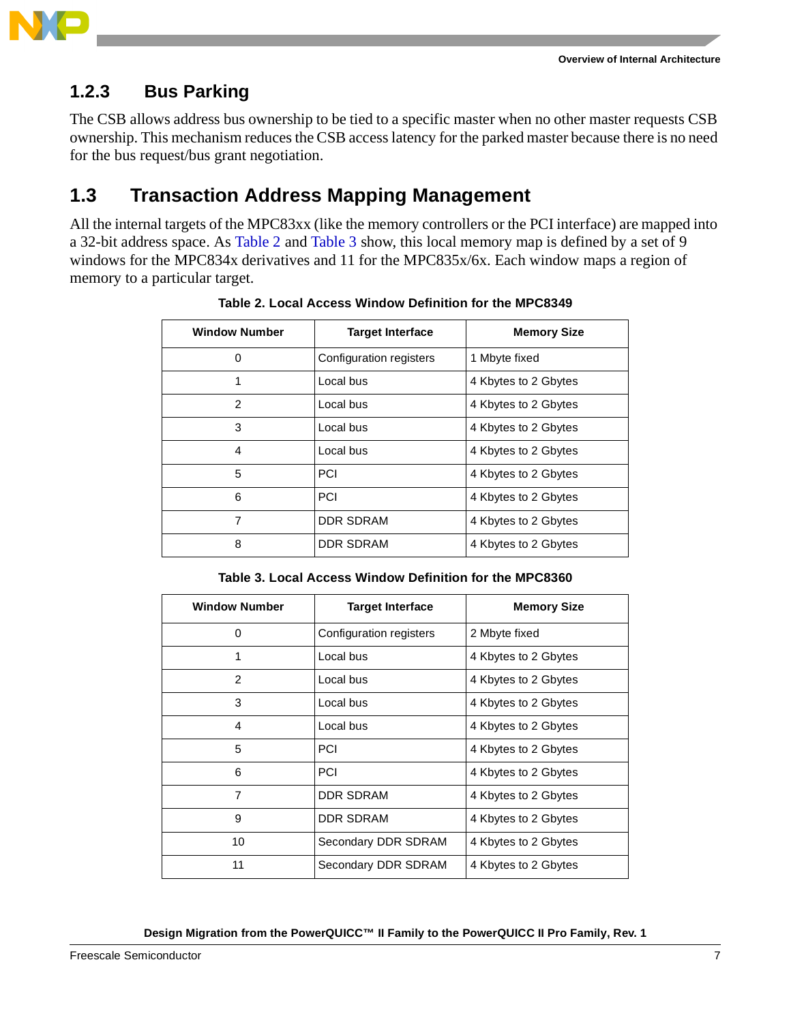

### **1.2.3 Bus Parking**

The CSB allows address bus ownership to be tied to a specific master when no other master requests CSB ownership. This mechanism reduces the CSB access latency for the parked master because there is no need for the bus request/bus grant negotiation.

# **1.3 Transaction Address Mapping Management**

<span id="page-6-0"></span>All the internal targets of the MPC83xx (like the memory controllers or the PCI interface) are mapped into a 32-bit address space. As [Table 2](#page-6-0) and [Table 3](#page-6-1) show, this local memory map is defined by a set of 9 windows for the MPC834x derivatives and 11 for the MPC835x/6x. Each window maps a region of memory to a particular target.

| <b>Window Number</b> | <b>Target Interface</b> | <b>Memory Size</b>   |
|----------------------|-------------------------|----------------------|
| 0                    | Configuration registers | 1 Mbyte fixed        |
| 1                    | Local bus               | 4 Kbytes to 2 Gbytes |
| 2                    | Local bus               | 4 Kbytes to 2 Gbytes |
| 3                    | Local bus               | 4 Kbytes to 2 Gbytes |
| 4                    | Local bus               | 4 Kbytes to 2 Gbytes |
| 5                    | <b>PCI</b>              | 4 Kbytes to 2 Gbytes |
| 6                    | PCI                     | 4 Kbytes to 2 Gbytes |
| 7                    | <b>DDR SDRAM</b>        | 4 Kbytes to 2 Gbytes |
| 8                    | DDR SDRAM               | 4 Kbytes to 2 Gbytes |

**Table 2. Local Access Window Definition for the MPC8349**

**Table 3. Local Access Window Definition for the MPC8360**

<span id="page-6-1"></span>

| <b>Window Number</b> | <b>Target Interface</b> | <b>Memory Size</b>   |
|----------------------|-------------------------|----------------------|
| 0                    | Configuration registers | 2 Mbyte fixed        |
| 1                    | Local bus               | 4 Kbytes to 2 Gbytes |
| $\mathcal{P}$        | Local bus               | 4 Kbytes to 2 Gbytes |
| 3                    | Local bus               | 4 Kbytes to 2 Gbytes |
| 4                    | Local bus               | 4 Kbytes to 2 Gbytes |
| 5                    | <b>PCI</b>              | 4 Kbytes to 2 Gbytes |
| 6                    | <b>PCI</b>              | 4 Kbytes to 2 Gbytes |
| $\overline{7}$       | <b>DDR SDRAM</b>        | 4 Kbytes to 2 Gbytes |
| 9                    | <b>DDR SDRAM</b>        | 4 Kbytes to 2 Gbytes |
| 10                   | Secondary DDR SDRAM     | 4 Kbytes to 2 Gbytes |
| 11                   | Secondary DDR SDRAM     | 4 Kbytes to 2 Gbytes |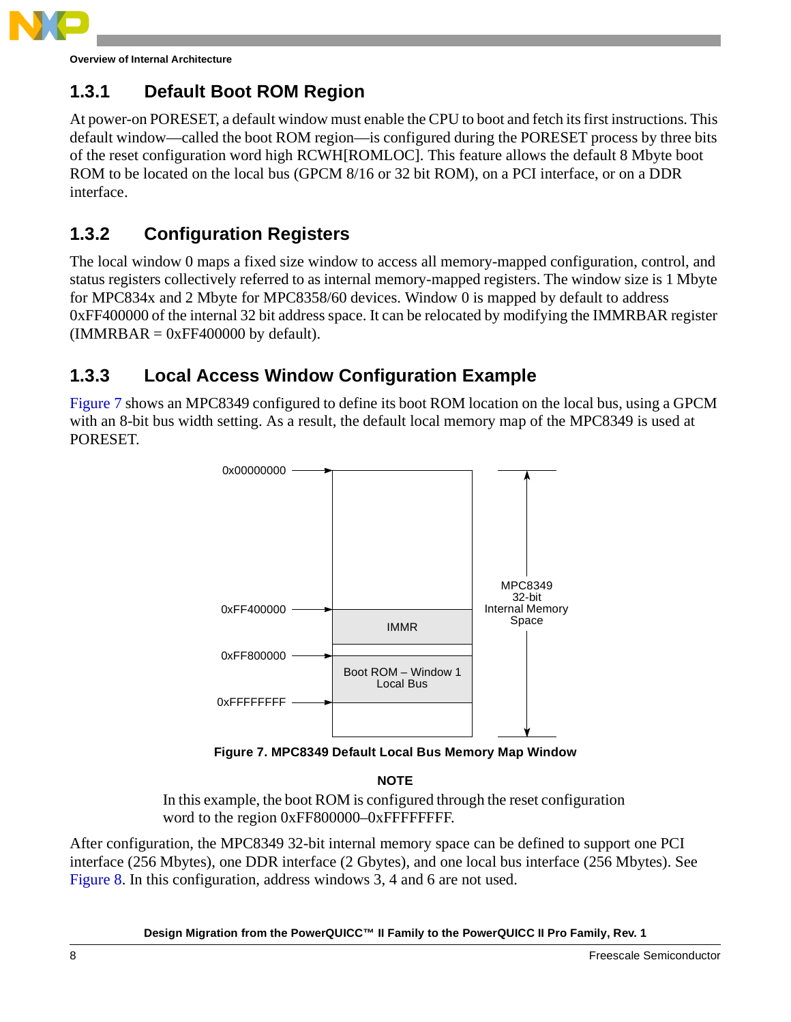

**Overview of Internal Architecture**

# **1.3.1 Default Boot ROM Region**

At power-on PORESET, a default window must enable the CPU to boot and fetch its first instructions. This default window—called the boot ROM region—is configured during the PORESET process by three bits of the reset configuration word high RCWH[ROMLOC]. This feature allows the default 8 Mbyte boot ROM to be located on the local bus (GPCM 8/16 or 32 bit ROM), on a PCI interface, or on a DDR interface.

## **1.3.2 Configuration Registers**

The local window 0 maps a fixed size window to access all memory-mapped configuration, control, and status registers collectively referred to as internal memory-mapped registers. The window size is 1 Mbyte for MPC834x and 2 Mbyte for MPC8358/60 devices. Window 0 is mapped by default to address 0xFF400000 of the internal 32 bit address space. It can be relocated by modifying the IMMRBAR register  $(IMMRBAR = 0xFF400000$  by default).

## **1.3.3 Local Access Window Configuration Example**

[Figure 7](#page-7-0) shows an MPC8349 configured to define its boot ROM location on the local bus, using a GPCM with an 8-bit bus width setting. As a result, the default local memory map of the MPC8349 is used at PORESET.



**Figure 7. MPC8349 Default Local Bus Memory Map Window**

**NOTE**

In this example, the boot ROM is configured through the reset configuration word to the region 0xFF800000–0xFFFFFFFFF.

<span id="page-7-0"></span>After configuration, the MPC8349 32-bit internal memory space can be defined to support one PCI interface (256 Mbytes), one DDR interface (2 Gbytes), and one local bus interface (256 Mbytes). See [Figure 8](#page-8-0). In this configuration, address windows 3, 4 and 6 are not used.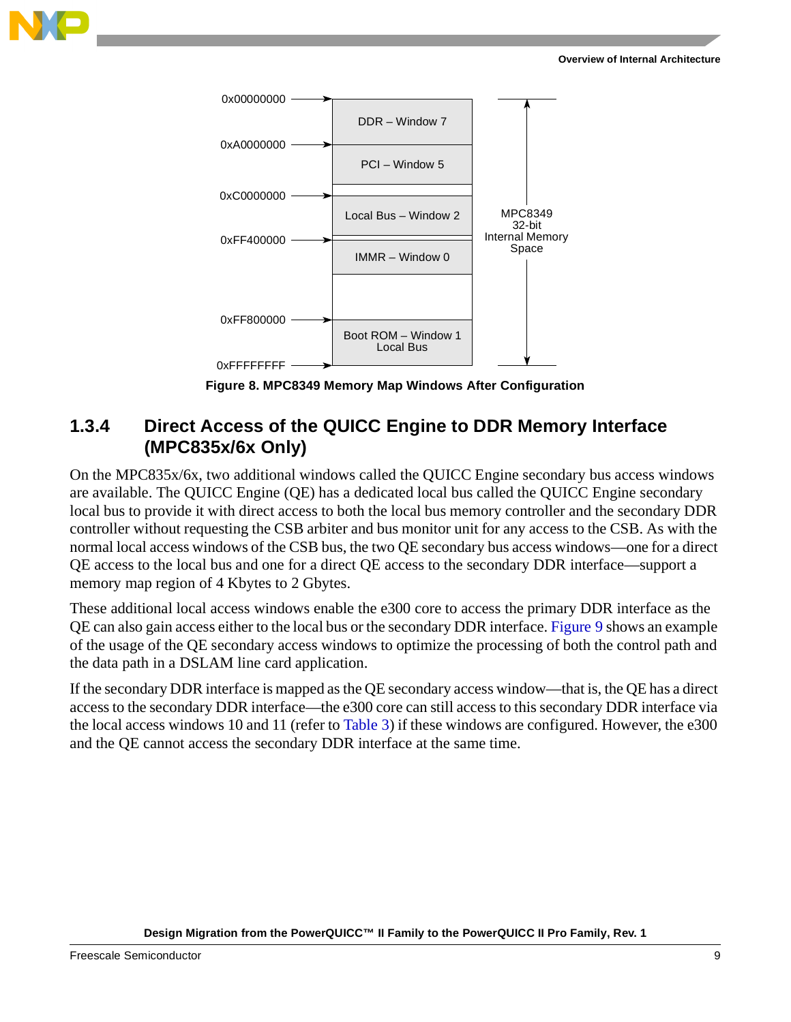



**Figure 8. MPC8349 Memory Map Windows After Configuration**

### <span id="page-8-0"></span>**1.3.4 Direct Access of the QUICC Engine to DDR Memory Interface (MPC835x/6x Only)**

On the MPC835x/6x, two additional windows called the QUICC Engine secondary bus access windows are available. The QUICC Engine (QE) has a dedicated local bus called the QUICC Engine secondary local bus to provide it with direct access to both the local bus memory controller and the secondary DDR controller without requesting the CSB arbiter and bus monitor unit for any access to the CSB. As with the normal local access windows of the CSB bus, the two QE secondary bus access windows—one for a direct QE access to the local bus and one for a direct QE access to the secondary DDR interface—support a memory map region of 4 Kbytes to 2 Gbytes.

These additional local access windows enable the e300 core to access the primary DDR interface as the QE can also gain access either to the local bus or the secondary DDR interface. [Figure 9](#page-9-0) shows an example of the usage of the QE secondary access windows to optimize the processing of both the control path and the data path in a DSLAM line card application.

If the secondary DDR interface is mapped as the QE secondary access window—that is, the QE has a direct access to the secondary DDR interface—the e300 core can still access to this secondary DDR interface via the local access windows 10 and 11 (refer to [Table 3\)](#page-6-1) if these windows are configured. However, the e300 and the QE cannot access the secondary DDR interface at the same time.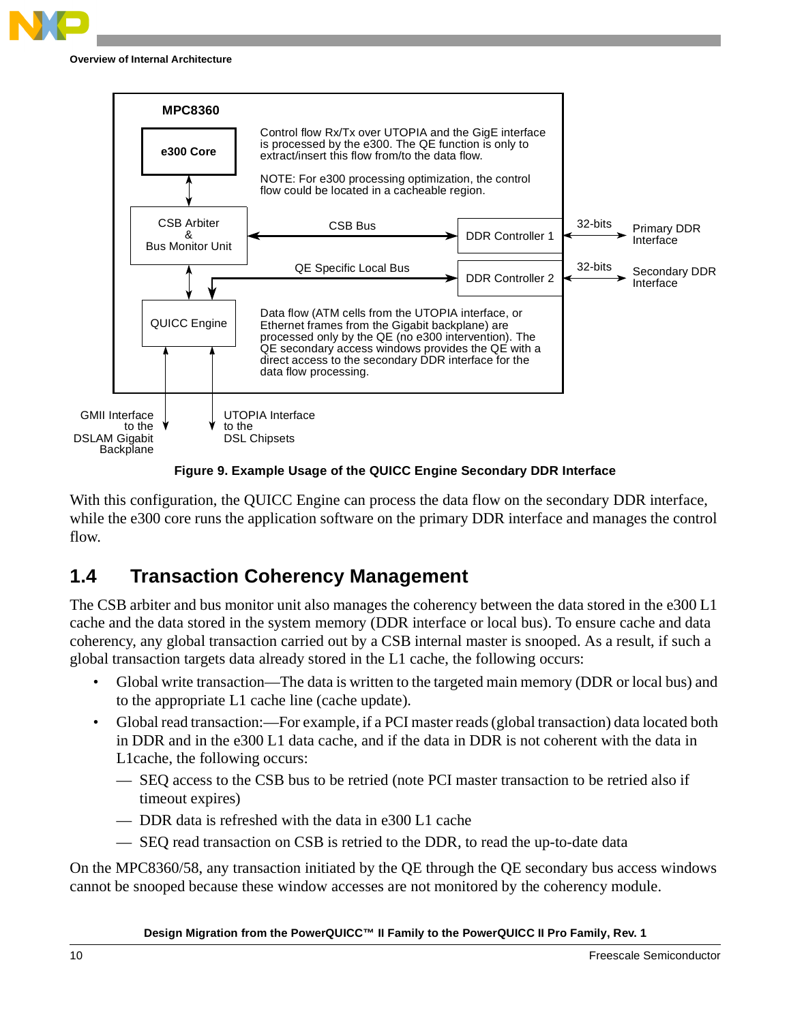



**Figure 9. Example Usage of the QUICC Engine Secondary DDR Interface**

<span id="page-9-0"></span>With this configuration, the QUICC Engine can process the data flow on the secondary DDR interface, while the e300 core runs the application software on the primary DDR interface and manages the control flow.

# **1.4 Transaction Coherency Management**

The CSB arbiter and bus monitor unit also manages the coherency between the data stored in the e300 L1 cache and the data stored in the system memory (DDR interface or local bus). To ensure cache and data coherency, any global transaction carried out by a CSB internal master is snooped. As a result, if such a global transaction targets data already stored in the L1 cache, the following occurs:

- Global write transaction—The data is written to the targeted main memory (DDR or local bus) and to the appropriate L1 cache line (cache update).
- Global read transaction:—For example, if a PCI master reads (global transaction) data located both in DDR and in the e300 L1 data cache, and if the data in DDR is not coherent with the data in L1cache, the following occurs:
	- SEQ access to the CSB bus to be retried (note PCI master transaction to be retried also if timeout expires)
	- DDR data is refreshed with the data in e300 L1 cache
	- SEQ read transaction on CSB is retried to the DDR, to read the up-to-date data

On the MPC8360/58, any transaction initiated by the QE through the QE secondary bus access windows cannot be snooped because these window accesses are not monitored by the coherency module.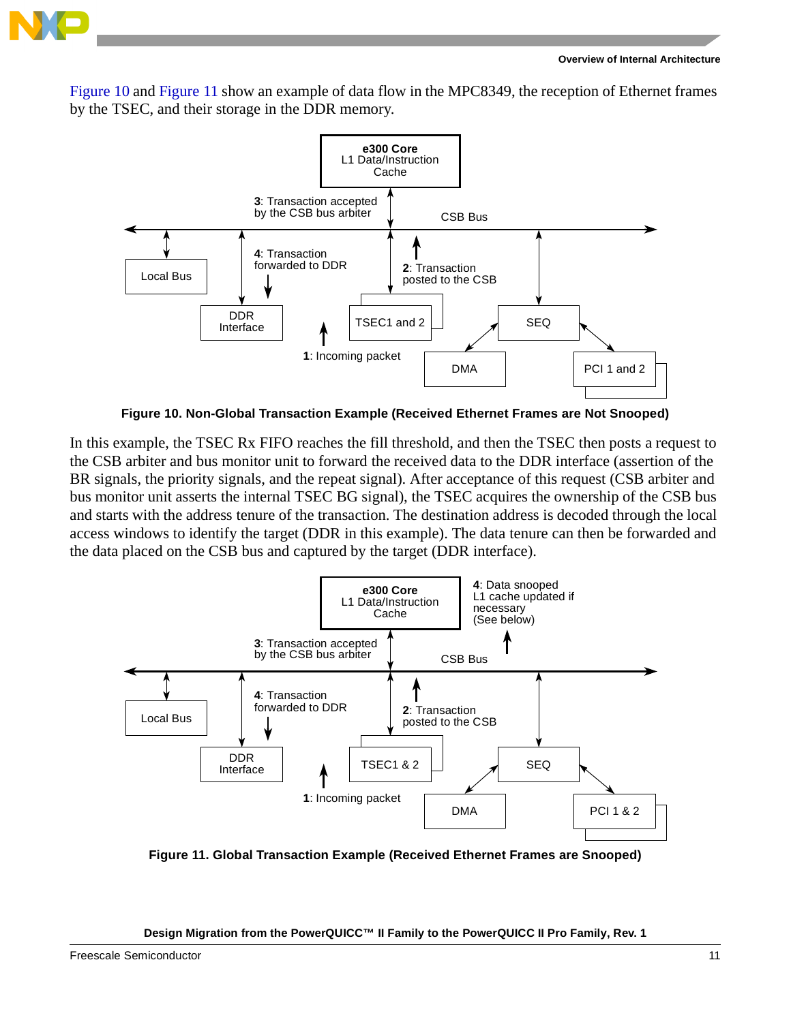

[Figure 10](#page-10-0) and [Figure 11](#page-10-1) show an example of data flow in the MPC8349, the reception of Ethernet frames by the TSEC, and their storage in the DDR memory.



**Figure 10. Non-Global Transaction Example (Received Ethernet Frames are Not Snooped)**

<span id="page-10-0"></span>In this example, the TSEC Rx FIFO reaches the fill threshold, and then the TSEC then posts a request to the CSB arbiter and bus monitor unit to forward the received data to the DDR interface (assertion of the BR signals, the priority signals, and the repeat signal). After acceptance of this request (CSB arbiter and bus monitor unit asserts the internal TSEC BG signal), the TSEC acquires the ownership of the CSB bus and starts with the address tenure of the transaction. The destination address is decoded through the local access windows to identify the target (DDR in this example). The data tenure can then be forwarded and the data placed on the CSB bus and captured by the target (DDR interface).



<span id="page-10-1"></span>**Figure 11. Global Transaction Example (Received Ethernet Frames are Snooped)**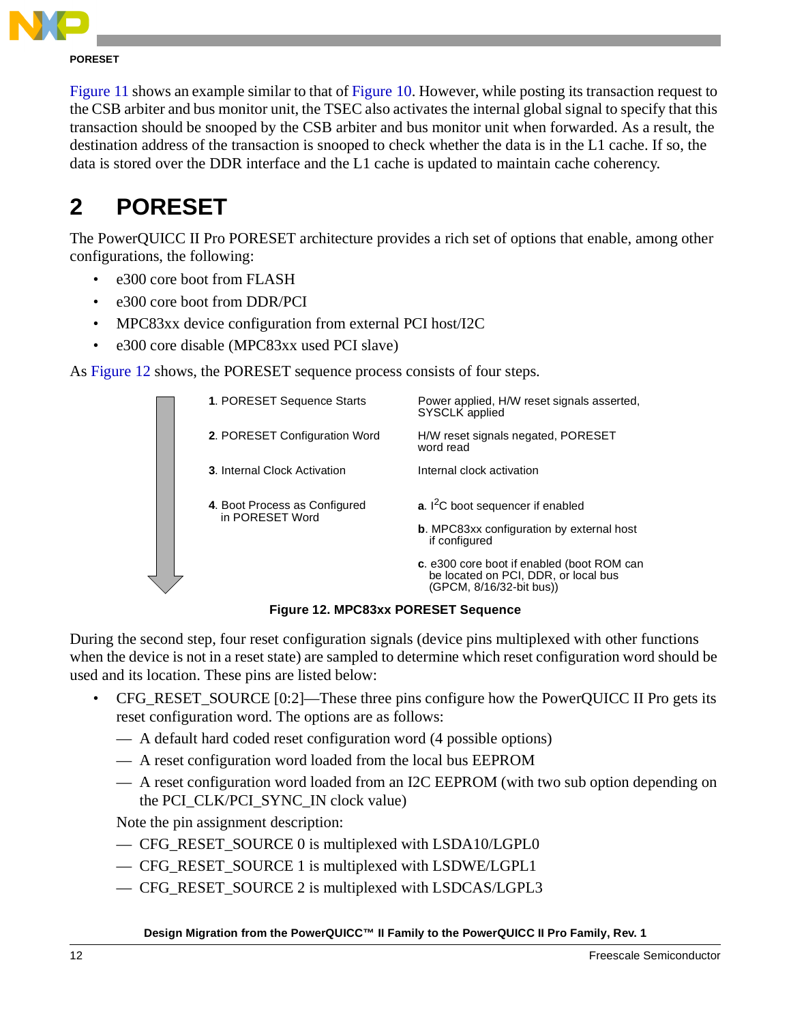

#### **PORESET**

[Figure 11](#page-10-1) shows an example similar to that of [Figure 10.](#page-10-0) However, while posting its transaction request to the CSB arbiter and bus monitor unit, the TSEC also activates the internal global signal to specify that this transaction should be snooped by the CSB arbiter and bus monitor unit when forwarded. As a result, the destination address of the transaction is snooped to check whether the data is in the L1 cache. If so, the data is stored over the DDR interface and the L1 cache is updated to maintain cache coherency.

# **2 PORESET**

The PowerQUICC II Pro PORESET architecture provides a rich set of options that enable, among other configurations, the following:

- e300 core boot from FLASH
- e300 core boot from DDR/PCI
- MPC83xx device configuration from external PCI host/I2C
- e300 core disable (MPC83xx used PCI slave)

As [Figure 12](#page-11-0) shows, the PORESET sequence process consists of four steps.



**Figure 12. MPC83xx PORESET Sequence**

<span id="page-11-0"></span>During the second step, four reset configuration signals (device pins multiplexed with other functions when the device is not in a reset state) are sampled to determine which reset configuration word should be used and its location. These pins are listed below:

- CFG\_RESET\_SOURCE [0:2]—These three pins configure how the PowerQUICC II Pro gets its reset configuration word. The options are as follows:
	- A default hard coded reset configuration word (4 possible options)
	- A reset configuration word loaded from the local bus EEPROM
	- A reset configuration word loaded from an I2C EEPROM (with two sub option depending on the PCI\_CLK/PCI\_SYNC\_IN clock value)

Note the pin assignment description:

- CFG\_RESET\_SOURCE 0 is multiplexed with LSDA10/LGPL0
- CFG\_RESET\_SOURCE 1 is multiplexed with LSDWE/LGPL1
- CFG\_RESET\_SOURCE 2 is multiplexed with LSDCAS/LGPL3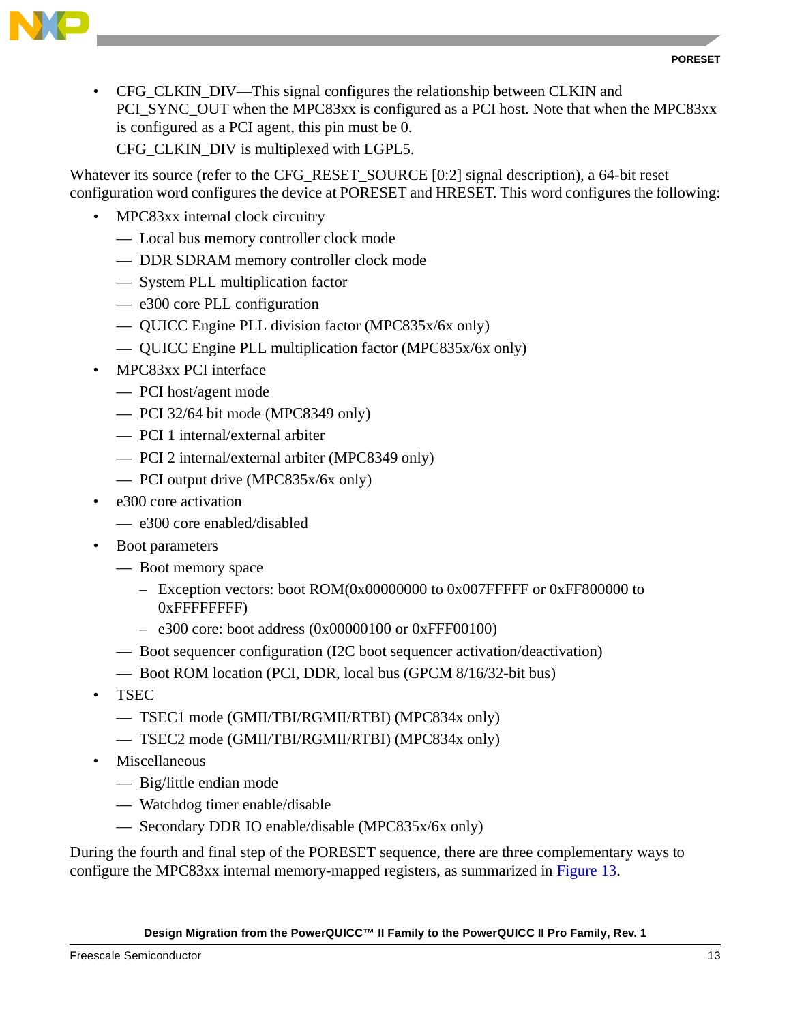



• CFG\_CLKIN\_DIV—This signal configures the relationship between CLKIN and PCI\_SYNC\_OUT when the MPC83xx is configured as a PCI host. Note that when the MPC83xx is configured as a PCI agent, this pin must be 0. CFG\_CLKIN\_DIV is multiplexed with LGPL5.

Whatever its source (refer to the CFG\_RESET\_SOURCE [0:2] signal description), a 64-bit reset configuration word configures the device at PORESET and HRESET. This word configures the following:

- MPC83xx internal clock circuitry
	- Local bus memory controller clock mode
	- DDR SDRAM memory controller clock mode
	- System PLL multiplication factor
	- e300 core PLL configuration
	- QUICC Engine PLL division factor (MPC835x/6x only)
	- QUICC Engine PLL multiplication factor (MPC835x/6x only)
- MPC83xx PCI interface
	- PCI host/agent mode
	- PCI 32/64 bit mode (MPC8349 only)
	- PCI 1 internal/external arbiter
	- PCI 2 internal/external arbiter (MPC8349 only)
	- PCI output drive (MPC835x/6x only)
- e300 core activation
	- e300 core enabled/disabled
- Boot parameters
	- Boot memory space
		- Exception vectors: boot ROM(0x00000000 to 0x007FFFFF or 0xFF800000 to 0xFFFFFFFF)
		- $-$  e300 core: boot address (0x00000100 or 0xFFF00100)
	- Boot sequencer configuration (I2C boot sequencer activation/deactivation)
	- Boot ROM location (PCI, DDR, local bus (GPCM 8/16/32-bit bus)
- TSEC
	- TSEC1 mode (GMII/TBI/RGMII/RTBI) (MPC834x only)
	- TSEC2 mode (GMII/TBI/RGMII/RTBI) (MPC834x only)
- Miscellaneous
	- Big/little endian mode
	- Watchdog timer enable/disable
	- Secondary DDR IO enable/disable (MPC835x/6x only)

During the fourth and final step of the PORESET sequence, there are three complementary ways to configure the MPC83xx internal memory-mapped registers, as summarized in [Figure 13](#page-13-0).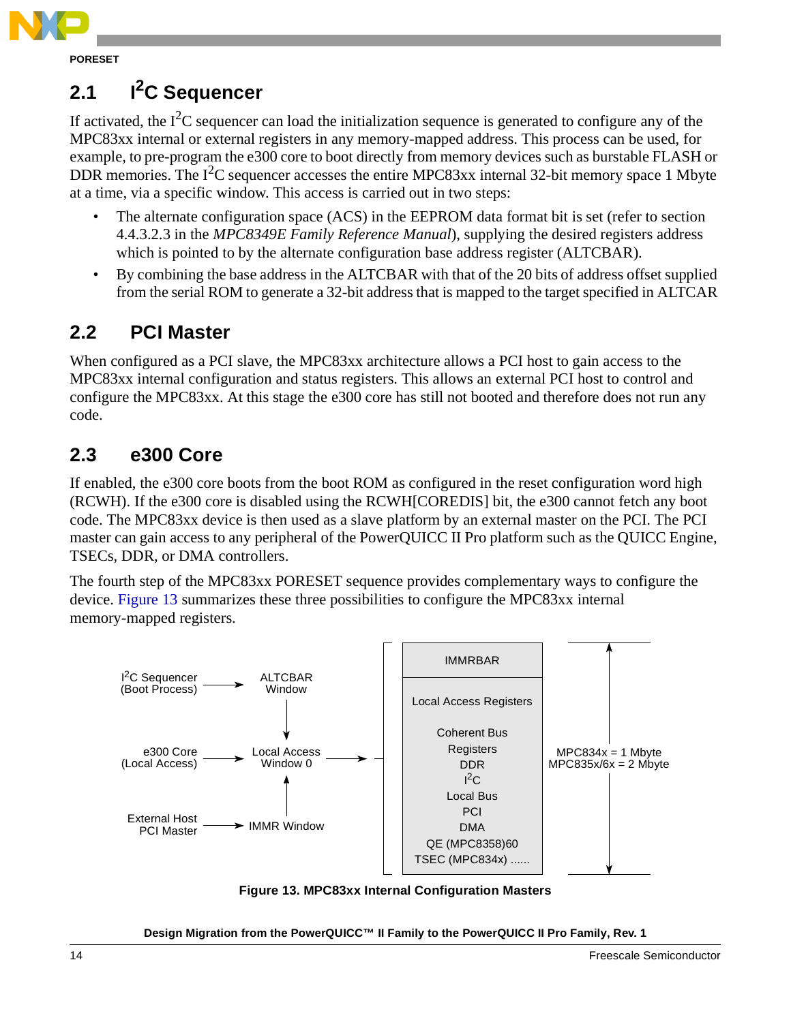

**PORESET**

# 2.1 **I<sup>2</sup>C Sequencer**

If activated, the  $I^2C$  sequencer can load the initialization sequence is generated to configure any of the MPC83xx internal or external registers in any memory-mapped address. This process can be used, for example, to pre-program the e300 core to boot directly from memory devices such as burstable FLASH or DDR memories. The  $I^2C$  sequencer accesses the entire MPC83xx internal 32-bit memory space 1 Mbyte at a time, via a specific window. This access is carried out in two steps:

- The alternate configuration space (ACS) in the EEPROM data format bit is set (refer to section 4.4.3.2.3 in the *MPC8349E Family Reference Manual*), supplying the desired registers address which is pointed to by the alternate configuration base address register (ALTCBAR).
- By combining the base address in the ALTCBAR with that of the 20 bits of address offset supplied from the serial ROM to generate a 32-bit address that is mapped to the target specified in ALTCAR

# **2.2 PCI Master**

When configured as a PCI slave, the MPC83xx architecture allows a PCI host to gain access to the MPC83xx internal configuration and status registers. This allows an external PCI host to control and configure the MPC83xx. At this stage the e300 core has still not booted and therefore does not run any code.

# **2.3 e300 Core**

If enabled, the e300 core boots from the boot ROM as configured in the reset configuration word high (RCWH). If the e300 core is disabled using the RCWH[COREDIS] bit, the e300 cannot fetch any boot code. The MPC83xx device is then used as a slave platform by an external master on the PCI. The PCI master can gain access to any peripheral of the PowerQUICC II Pro platform such as the QUICC Engine, TSECs, DDR, or DMA controllers.

The fourth step of the MPC83xx PORESET sequence provides complementary ways to configure the device. [Figure 13](#page-13-0) summarizes these three possibilities to configure the MPC83xx internal memory-mapped registers.



<span id="page-13-0"></span>**Figure 13. MPC83xx Internal Configuration Masters**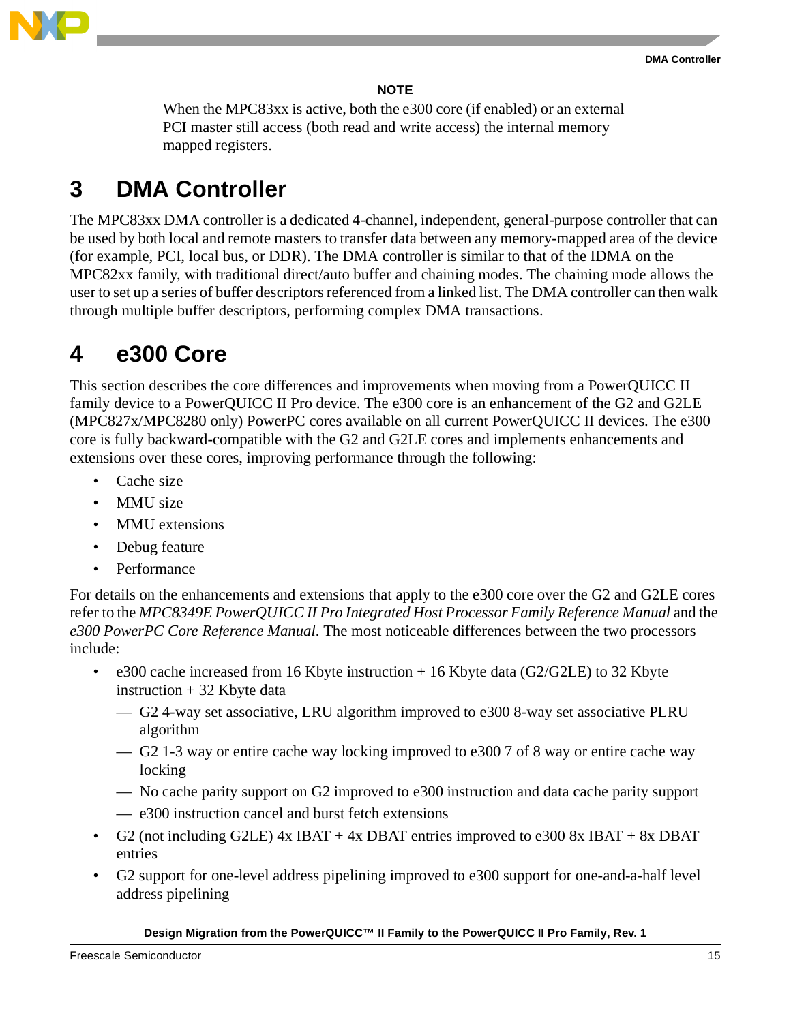

#### **NOTE**

When the MPC83xx is active, both the e300 core (if enabled) or an external PCI master still access (both read and write access) the internal memory mapped registers.

# **3 DMA Controller**

The MPC83xx DMA controller is a dedicated 4-channel, independent, general-purpose controller that can be used by both local and remote masters to transfer data between any memory-mapped area of the device (for example, PCI, local bus, or DDR). The DMA controller is similar to that of the IDMA on the MPC82xx family, with traditional direct/auto buffer and chaining modes. The chaining mode allows the user to set up a series of buffer descriptors referenced from a linked list. The DMA controller can then walk through multiple buffer descriptors, performing complex DMA transactions.

# **4 e300 Core**

This section describes the core differences and improvements when moving from a PowerQUICC II family device to a PowerQUICC II Pro device. The e300 core is an enhancement of the G2 and G2LE (MPC827x/MPC8280 only) PowerPC cores available on all current PowerQUICC II devices. The e300 core is fully backward-compatible with the G2 and G2LE cores and implements enhancements and extensions over these cores, improving performance through the following:

- Cache size
- MMU size
- MMU extensions
- Debug feature
- Performance

For details on the enhancements and extensions that apply to the e300 core over the G2 and G2LE cores refer to the *MPC8349E PowerQUICC II Pro Integrated Host Processor Family Reference Manual* and the *e300 PowerPC Core Reference Manual*. The most noticeable differences between the two processors include:

- e300 cache increased from 16 Kbyte instruction  $+ 16$  Kbyte data (G2/G2LE) to 32 Kbyte instruction  $+32$  Kbyte data
	- G2 4-way set associative, LRU algorithm improved to e300 8-way set associative PLRU algorithm
	- G2 1-3 way or entire cache way locking improved to e300 7 of 8 way or entire cache way locking
	- No cache parity support on G2 improved to e300 instruction and data cache parity support
	- e300 instruction cancel and burst fetch extensions
- G2 (not including G2LE) 4x IBAT + 4x DBAT entries improved to e300 8x IBAT + 8x DBAT entries
- G2 support for one-level address pipelining improved to e300 support for one-and-a-half level address pipelining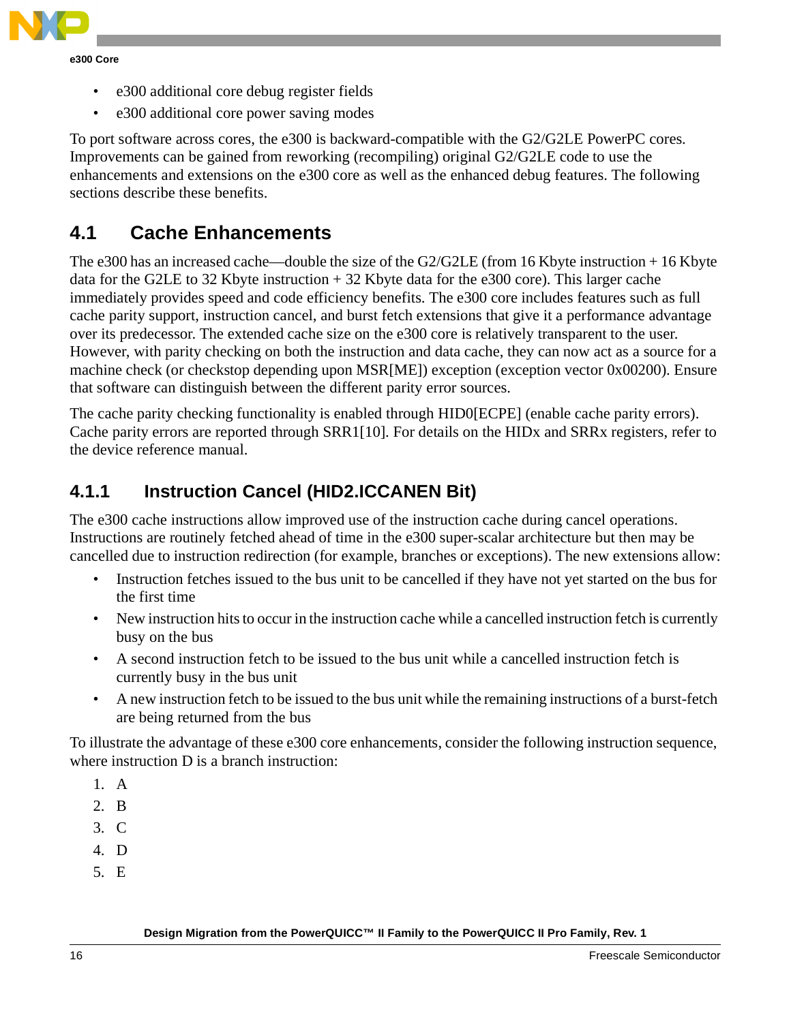

- e300 additional core debug register fields
- e300 additional core power saving modes

To port software across cores, the e300 is backward-compatible with the G2/G2LE PowerPC cores. Improvements can be gained from reworking (recompiling) original G2/G2LE code to use the enhancements and extensions on the e300 core as well as the enhanced debug features. The following sections describe these benefits.

## **4.1 Cache Enhancements**

The e300 has an increased cache—double the size of the G2/G2LE (from 16 Kbyte instruction + 16 Kbyte data for the G2LE to 32 Kbyte instruction  $+$  32 Kbyte data for the e300 core). This larger cache immediately provides speed and code efficiency benefits. The e300 core includes features such as full cache parity support, instruction cancel, and burst fetch extensions that give it a performance advantage over its predecessor. The extended cache size on the e300 core is relatively transparent to the user. However, with parity checking on both the instruction and data cache, they can now act as a source for a machine check (or checkstop depending upon MSR[ME]) exception (exception vector 0x00200). Ensure that software can distinguish between the different parity error sources.

The cache parity checking functionality is enabled through HID0[ECPE] (enable cache parity errors). Cache parity errors are reported through SRR1[10]. For details on the HIDx and SRRx registers, refer to the device reference manual.

### **4.1.1 Instruction Cancel (HID2.ICCANEN Bit)**

The e300 cache instructions allow improved use of the instruction cache during cancel operations. Instructions are routinely fetched ahead of time in the e300 super-scalar architecture but then may be cancelled due to instruction redirection (for example, branches or exceptions). The new extensions allow:

- Instruction fetches issued to the bus unit to be cancelled if they have not yet started on the bus for the first time
- New instruction hits to occur in the instruction cache while a cancelled instruction fetch is currently busy on the bus
- A second instruction fetch to be issued to the bus unit while a cancelled instruction fetch is currently busy in the bus unit
- A new instruction fetch to be issued to the bus unit while the remaining instructions of a burst-fetch are being returned from the bus

To illustrate the advantage of these e300 core enhancements, consider the following instruction sequence, where instruction D is a branch instruction:

- 1. A
- 2. B
- 3. C
- 4. D
- 5. E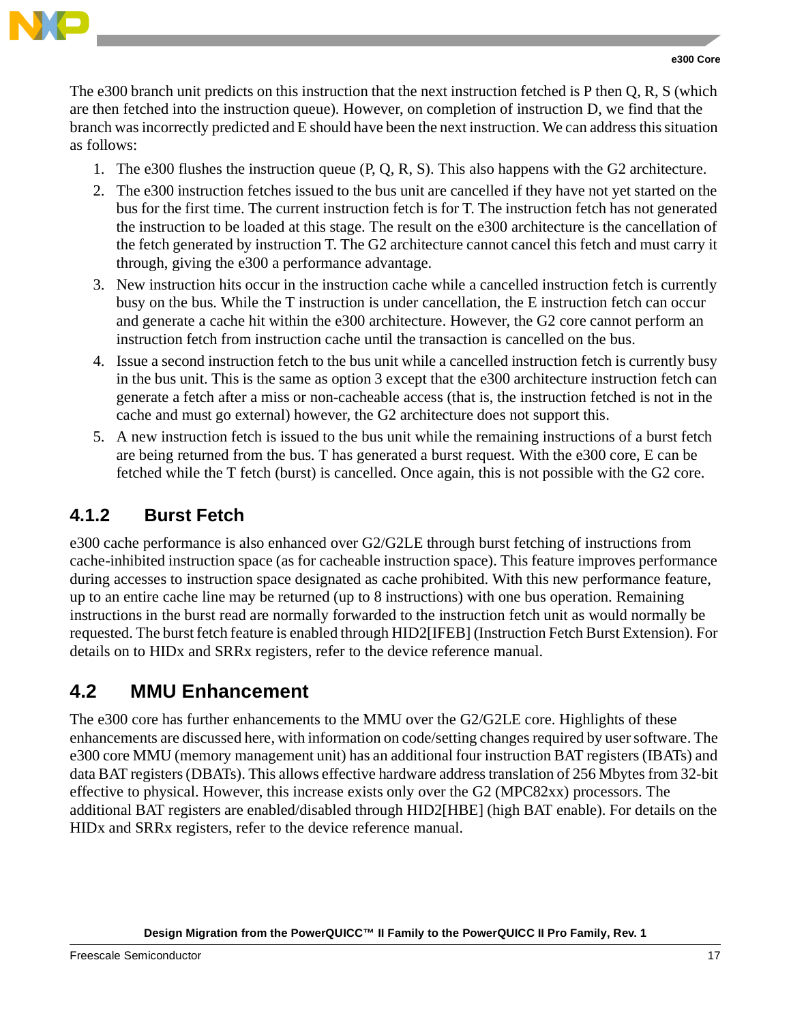

The e300 branch unit predicts on this instruction that the next instruction fetched is P then Q, R, S (which are then fetched into the instruction queue). However, on completion of instruction D, we find that the branch was incorrectly predicted and E should have been the next instruction. We can address this situation as follows:

- 1. The e300 flushes the instruction queue (P, Q, R, S). This also happens with the G2 architecture.
- 2. The e300 instruction fetches issued to the bus unit are cancelled if they have not yet started on the bus for the first time. The current instruction fetch is for T. The instruction fetch has not generated the instruction to be loaded at this stage. The result on the e300 architecture is the cancellation of the fetch generated by instruction T. The G2 architecture cannot cancel this fetch and must carry it through, giving the e300 a performance advantage.
- 3. New instruction hits occur in the instruction cache while a cancelled instruction fetch is currently busy on the bus. While the T instruction is under cancellation, the E instruction fetch can occur and generate a cache hit within the e300 architecture. However, the G2 core cannot perform an instruction fetch from instruction cache until the transaction is cancelled on the bus.
- 4. Issue a second instruction fetch to the bus unit while a cancelled instruction fetch is currently busy in the bus unit. This is the same as option 3 except that the e300 architecture instruction fetch can generate a fetch after a miss or non-cacheable access (that is, the instruction fetched is not in the cache and must go external) however, the G2 architecture does not support this.
- 5. A new instruction fetch is issued to the bus unit while the remaining instructions of a burst fetch are being returned from the bus. T has generated a burst request. With the e300 core, E can be fetched while the T fetch (burst) is cancelled. Once again, this is not possible with the G2 core.

### **4.1.2 Burst Fetch**

e300 cache performance is also enhanced over G2/G2LE through burst fetching of instructions from cache-inhibited instruction space (as for cacheable instruction space). This feature improves performance during accesses to instruction space designated as cache prohibited. With this new performance feature, up to an entire cache line may be returned (up to 8 instructions) with one bus operation. Remaining instructions in the burst read are normally forwarded to the instruction fetch unit as would normally be requested. The burst fetch feature is enabled through HID2[IFEB] (Instruction Fetch Burst Extension). For details on to HIDx and SRRx registers, refer to the device reference manual.

## **4.2 MMU Enhancement**

The e300 core has further enhancements to the MMU over the G2/G2LE core. Highlights of these enhancements are discussed here, with information on code/setting changes required by user software. The e300 core MMU (memory management unit) has an additional four instruction BAT registers (IBATs) and data BAT registers (DBATs). This allows effective hardware address translation of 256 Mbytes from 32-bit effective to physical. However, this increase exists only over the G2 (MPC82xx) processors. The additional BAT registers are enabled/disabled through HID2[HBE] (high BAT enable). For details on the HIDx and SRRx registers, refer to the device reference manual.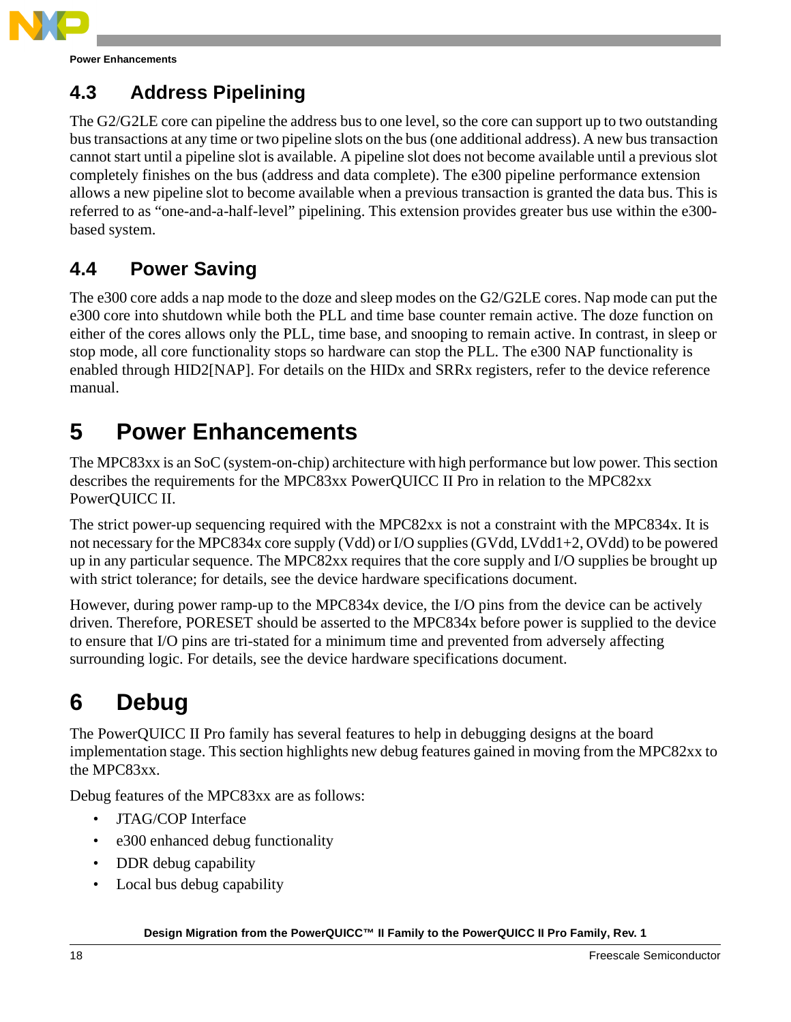

**Power Enhancements**

# **4.3 Address Pipelining**

The G2/G2LE core can pipeline the address bus to one level, so the core can support up to two outstanding bus transactions at any time or two pipeline slots on the bus (one additional address). A new bus transaction cannot start until a pipeline slot is available. A pipeline slot does not become available until a previous slot completely finishes on the bus (address and data complete). The e300 pipeline performance extension allows a new pipeline slot to become available when a previous transaction is granted the data bus. This is referred to as "one-and-a-half-level" pipelining. This extension provides greater bus use within the e300 based system.

# **4.4 Power Saving**

The e300 core adds a nap mode to the doze and sleep modes on the G2/G2LE cores. Nap mode can put the e300 core into shutdown while both the PLL and time base counter remain active. The doze function on either of the cores allows only the PLL, time base, and snooping to remain active. In contrast, in sleep or stop mode, all core functionality stops so hardware can stop the PLL. The e300 NAP functionality is enabled through HID2[NAP]. For details on the HIDx and SRRx registers, refer to the device reference manual.

# **5 Power Enhancements**

The MPC83xx is an SoC (system-on-chip) architecture with high performance but low power. This section describes the requirements for the MPC83xx PowerQUICC II Pro in relation to the MPC82xx PowerQUICC II.

The strict power-up sequencing required with the MPC82xx is not a constraint with the MPC834x. It is not necessary for the MPC834x core supply (Vdd) or I/O supplies (GVdd, LVdd1+2, OVdd) to be powered up in any particular sequence. The MPC82xx requires that the core supply and I/O supplies be brought up with strict tolerance; for details, see the device hardware specifications document.

However, during power ramp-up to the MPC834x device, the I/O pins from the device can be actively driven. Therefore, PORESET should be asserted to the MPC834x before power is supplied to the device to ensure that I/O pins are tri-stated for a minimum time and prevented from adversely affecting surrounding logic. For details, see the device hardware specifications document.

# **6 Debug**

The PowerQUICC II Pro family has several features to help in debugging designs at the board implementation stage. This section highlights new debug features gained in moving from the MPC82xx to the MPC83xx.

Debug features of the MPC83xx are as follows:

- JTAG/COP Interface
- e300 enhanced debug functionality
- DDR debug capability
- Local bus debug capability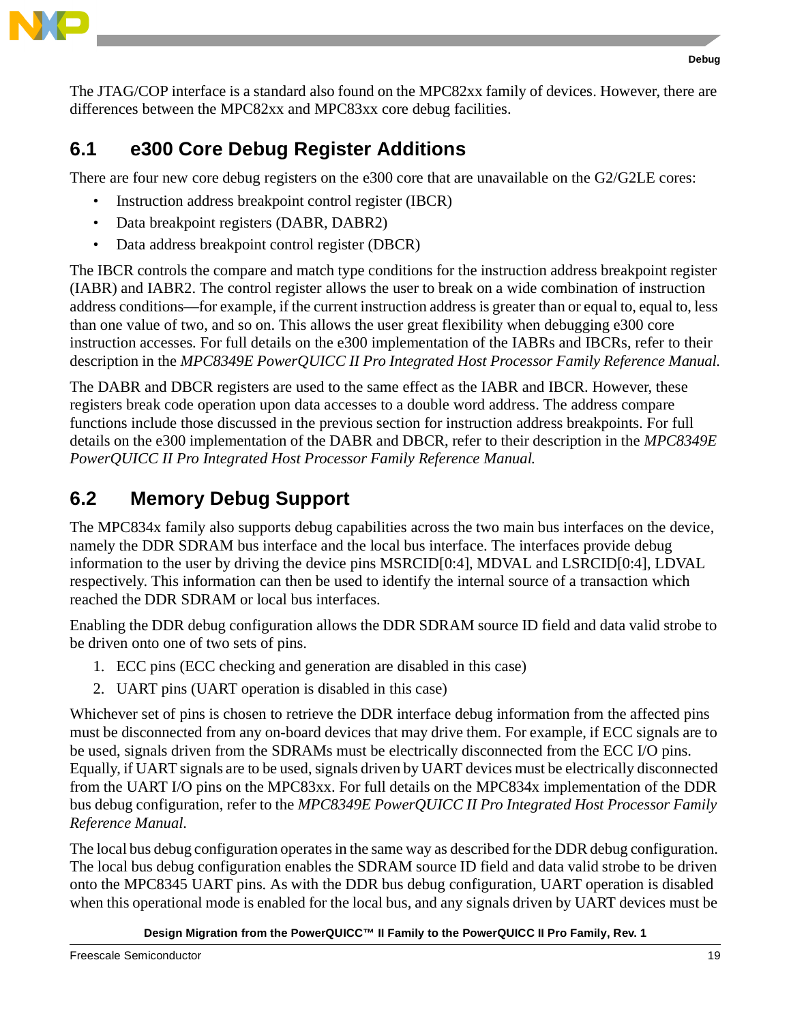

The JTAG/COP interface is a standard also found on the MPC82xx family of devices. However, there are differences between the MPC82xx and MPC83xx core debug facilities.

# **6.1 e300 Core Debug Register Additions**

There are four new core debug registers on the e300 core that are unavailable on the G2/G2LE cores:

- Instruction address breakpoint control register (IBCR)
- Data breakpoint registers (DABR, DABR2)
- Data address breakpoint control register (DBCR)

The IBCR controls the compare and match type conditions for the instruction address breakpoint register (IABR) and IABR2. The control register allows the user to break on a wide combination of instruction address conditions—for example, if the current instruction address is greater than or equal to, equal to, less than one value of two, and so on. This allows the user great flexibility when debugging e300 core instruction accesses. For full details on the e300 implementation of the IABRs and IBCRs, refer to their description in the *MPC8349E PowerQUICC II Pro Integrated Host Processor Family Reference Manual.*

The DABR and DBCR registers are used to the same effect as the IABR and IBCR. However, these registers break code operation upon data accesses to a double word address. The address compare functions include those discussed in the previous section for instruction address breakpoints. For full details on the e300 implementation of the DABR and DBCR, refer to their description in the *MPC8349E PowerQUICC II Pro Integrated Host Processor Family Reference Manual.*

# **6.2 Memory Debug Support**

The MPC834x family also supports debug capabilities across the two main bus interfaces on the device, namely the DDR SDRAM bus interface and the local bus interface. The interfaces provide debug information to the user by driving the device pins MSRCID[0:4], MDVAL and LSRCID[0:4], LDVAL respectively. This information can then be used to identify the internal source of a transaction which reached the DDR SDRAM or local bus interfaces.

Enabling the DDR debug configuration allows the DDR SDRAM source ID field and data valid strobe to be driven onto one of two sets of pins.

- 1. ECC pins (ECC checking and generation are disabled in this case)
- 2. UART pins (UART operation is disabled in this case)

Whichever set of pins is chosen to retrieve the DDR interface debug information from the affected pins must be disconnected from any on-board devices that may drive them. For example, if ECC signals are to be used, signals driven from the SDRAMs must be electrically disconnected from the ECC I/O pins. Equally, if UART signals are to be used, signals driven by UART devices must be electrically disconnected from the UART I/O pins on the MPC83xx. For full details on the MPC834x implementation of the DDR bus debug configuration, refer to the *MPC8349E PowerQUICC II Pro Integrated Host Processor Family Reference Manual.*

The local bus debug configuration operates in the same way as described for the DDR debug configuration. The local bus debug configuration enables the SDRAM source ID field and data valid strobe to be driven onto the MPC8345 UART pins. As with the DDR bus debug configuration, UART operation is disabled when this operational mode is enabled for the local bus, and any signals driven by UART devices must be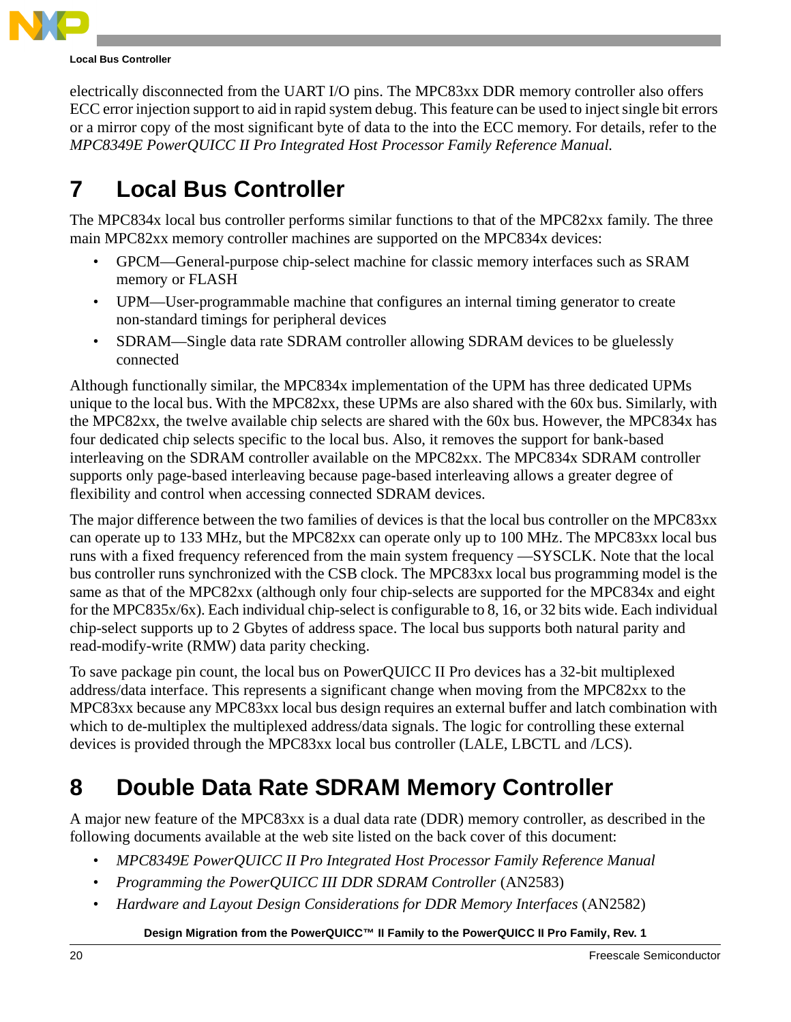

#### **Local Bus Controller**

electrically disconnected from the UART I/O pins. The MPC83xx DDR memory controller also offers ECC error injection support to aid in rapid system debug. This feature can be used to inject single bit errors or a mirror copy of the most significant byte of data to the into the ECC memory. For details, refer to the *MPC8349E PowerQUICC II Pro Integrated Host Processor Family Reference Manual.*

# **7 Local Bus Controller**

The MPC834x local bus controller performs similar functions to that of the MPC82xx family. The three main MPC82xx memory controller machines are supported on the MPC834x devices:

- GPCM—General-purpose chip-select machine for classic memory interfaces such as SRAM memory or FLASH
- UPM—User-programmable machine that configures an internal timing generator to create non-standard timings for peripheral devices
- SDRAM—Single data rate SDRAM controller allowing SDRAM devices to be gluelessly connected

Although functionally similar, the MPC834x implementation of the UPM has three dedicated UPMs unique to the local bus. With the MPC82xx, these UPMs are also shared with the 60x bus. Similarly, with the MPC82xx, the twelve available chip selects are shared with the 60x bus. However, the MPC834x has four dedicated chip selects specific to the local bus. Also, it removes the support for bank-based interleaving on the SDRAM controller available on the MPC82xx. The MPC834x SDRAM controller supports only page-based interleaving because page-based interleaving allows a greater degree of flexibility and control when accessing connected SDRAM devices.

The major difference between the two families of devices is that the local bus controller on the MPC83xx can operate up to 133 MHz, but the MPC82xx can operate only up to 100 MHz. The MPC83xx local bus runs with a fixed frequency referenced from the main system frequency —SYSCLK. Note that the local bus controller runs synchronized with the CSB clock. The MPC83xx local bus programming model is the same as that of the MPC82xx (although only four chip-selects are supported for the MPC834x and eight for the MPC835x/6x). Each individual chip-select is configurable to 8, 16, or 32 bits wide. Each individual chip-select supports up to 2 Gbytes of address space. The local bus supports both natural parity and read-modify-write (RMW) data parity checking.

To save package pin count, the local bus on PowerQUICC II Pro devices has a 32-bit multiplexed address/data interface. This represents a significant change when moving from the MPC82xx to the MPC83xx because any MPC83xx local bus design requires an external buffer and latch combination with which to de-multiplex the multiplexed address/data signals. The logic for controlling these external devices is provided through the MPC83xx local bus controller (LALE, LBCTL and /LCS).

# **8 Double Data Rate SDRAM Memory Controller**

A major new feature of the MPC83xx is a dual data rate (DDR) memory controller, as described in the following documents available at the web site listed on the back cover of this document:

- *MPC8349E PowerQUICC II Pro Integrated Host Processor Family Reference Manual*
- *Programming the PowerQUICC III DDR SDRAM Controller* (AN2583)
- *Hardware and Layout Design Considerations for DDR Memory Interfaces* (AN2582)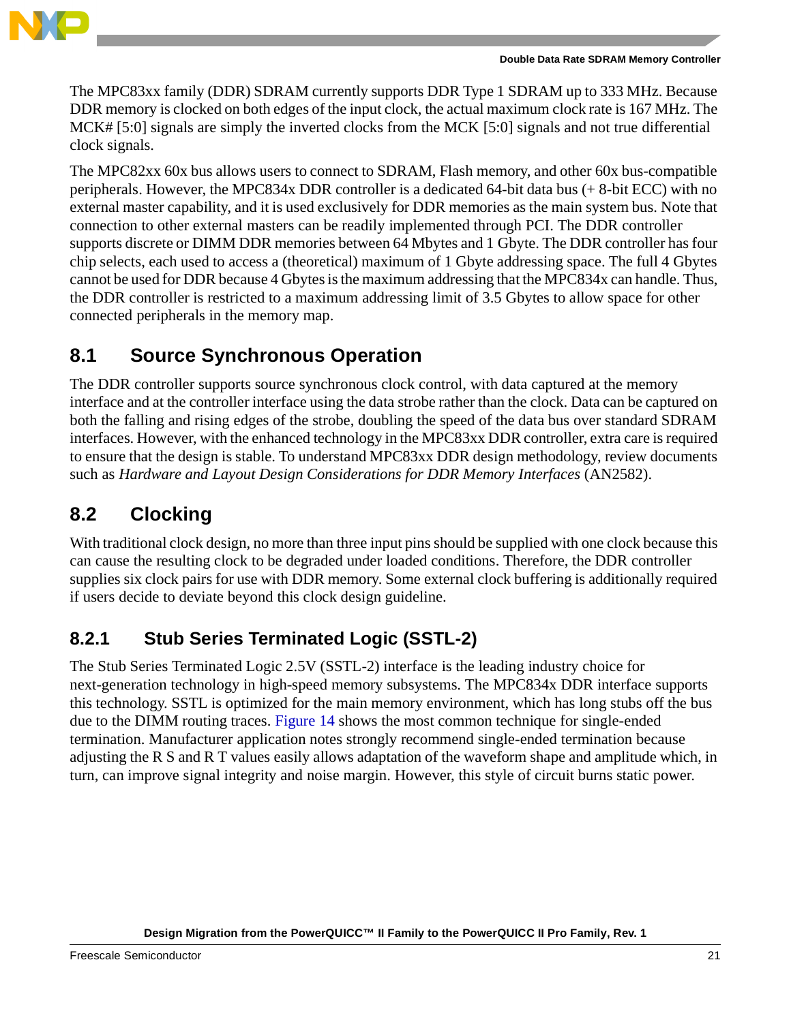

The MPC83xx family (DDR) SDRAM currently supports DDR Type 1 SDRAM up to 333 MHz. Because DDR memory is clocked on both edges of the input clock, the actual maximum clock rate is 167 MHz. The MCK# [5:0] signals are simply the inverted clocks from the MCK [5:0] signals and not true differential clock signals.

The MPC82xx 60x bus allows users to connect to SDRAM, Flash memory, and other 60x bus-compatible peripherals. However, the MPC834x DDR controller is a dedicated 64-bit data bus (+ 8-bit ECC) with no external master capability, and it is used exclusively for DDR memories as the main system bus. Note that connection to other external masters can be readily implemented through PCI. The DDR controller supports discrete or DIMM DDR memories between 64 Mbytes and 1 Gbyte. The DDR controller has four chip selects, each used to access a (theoretical) maximum of 1 Gbyte addressing space. The full 4 Gbytes cannot be used for DDR because 4 Gbytes is the maximum addressing that the MPC834x can handle. Thus, the DDR controller is restricted to a maximum addressing limit of 3.5 Gbytes to allow space for other connected peripherals in the memory map.

## **8.1 Source Synchronous Operation**

The DDR controller supports source synchronous clock control, with data captured at the memory interface and at the controller interface using the data strobe rather than the clock. Data can be captured on both the falling and rising edges of the strobe, doubling the speed of the data bus over standard SDRAM interfaces. However, with the enhanced technology in the MPC83xx DDR controller, extra care is required to ensure that the design is stable. To understand MPC83xx DDR design methodology, review documents such as *Hardware and Layout Design Considerations for DDR Memory Interfaces* (AN2582).

## **8.2 Clocking**

With traditional clock design, no more than three input pins should be supplied with one clock because this can cause the resulting clock to be degraded under loaded conditions. Therefore, the DDR controller supplies six clock pairs for use with DDR memory. Some external clock buffering is additionally required if users decide to deviate beyond this clock design guideline.

## **8.2.1 Stub Series Terminated Logic (SSTL-2)**

The Stub Series Terminated Logic 2.5V (SSTL-2) interface is the leading industry choice for next-generation technology in high-speed memory subsystems. The MPC834x DDR interface supports this technology. SSTL is optimized for the main memory environment, which has long stubs off the bus due to the DIMM routing traces. [Figure 14](#page-21-0) shows the most common technique for single-ended termination. Manufacturer application notes strongly recommend single-ended termination because adjusting the R S and R T values easily allows adaptation of the waveform shape and amplitude which, in turn, can improve signal integrity and noise margin. However, this style of circuit burns static power.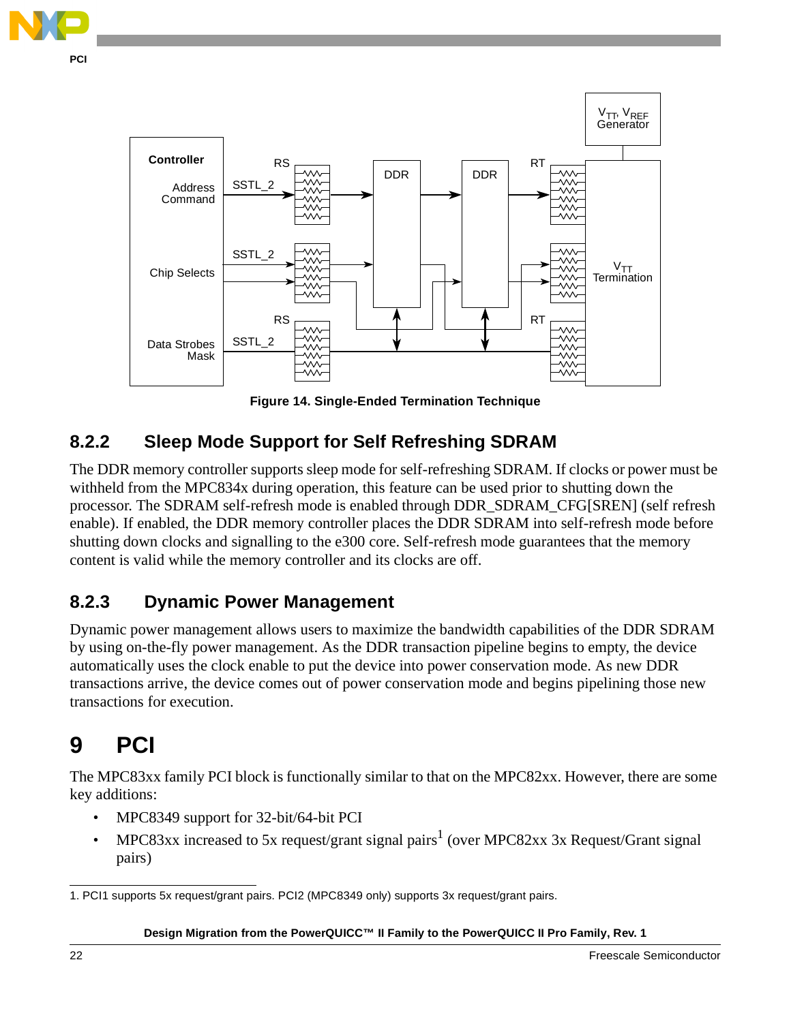



# <span id="page-21-0"></span>**8.2.2 Sleep Mode Support for Self Refreshing SDRAM**

The DDR memory controller supports sleep mode for self-refreshing SDRAM. If clocks or power must be withheld from the MPC834x during operation, this feature can be used prior to shutting down the processor. The SDRAM self-refresh mode is enabled through DDR\_SDRAM\_CFG[SREN] (self refresh enable). If enabled, the DDR memory controller places the DDR SDRAM into self-refresh mode before shutting down clocks and signalling to the e300 core. Self-refresh mode guarantees that the memory content is valid while the memory controller and its clocks are off.

### **8.2.3 Dynamic Power Management**

Dynamic power management allows users to maximize the bandwidth capabilities of the DDR SDRAM by using on-the-fly power management. As the DDR transaction pipeline begins to empty, the device automatically uses the clock enable to put the device into power conservation mode. As new DDR transactions arrive, the device comes out of power conservation mode and begins pipelining those new transactions for execution.

# **9 PCI**

The MPC83xx family PCI block is functionally similar to that on the MPC82xx. However, there are some key additions:

- MPC8349 support for 32-bit/64-bit PCI
- MPC83xx increased to 5x request/grant signal pairs<sup>1</sup> (over MPC82xx 3x Request/Grant signal pairs)

<sup>1.</sup> PCI1 supports 5x request/grant pairs. PCI2 (MPC8349 only) supports 3x request/grant pairs.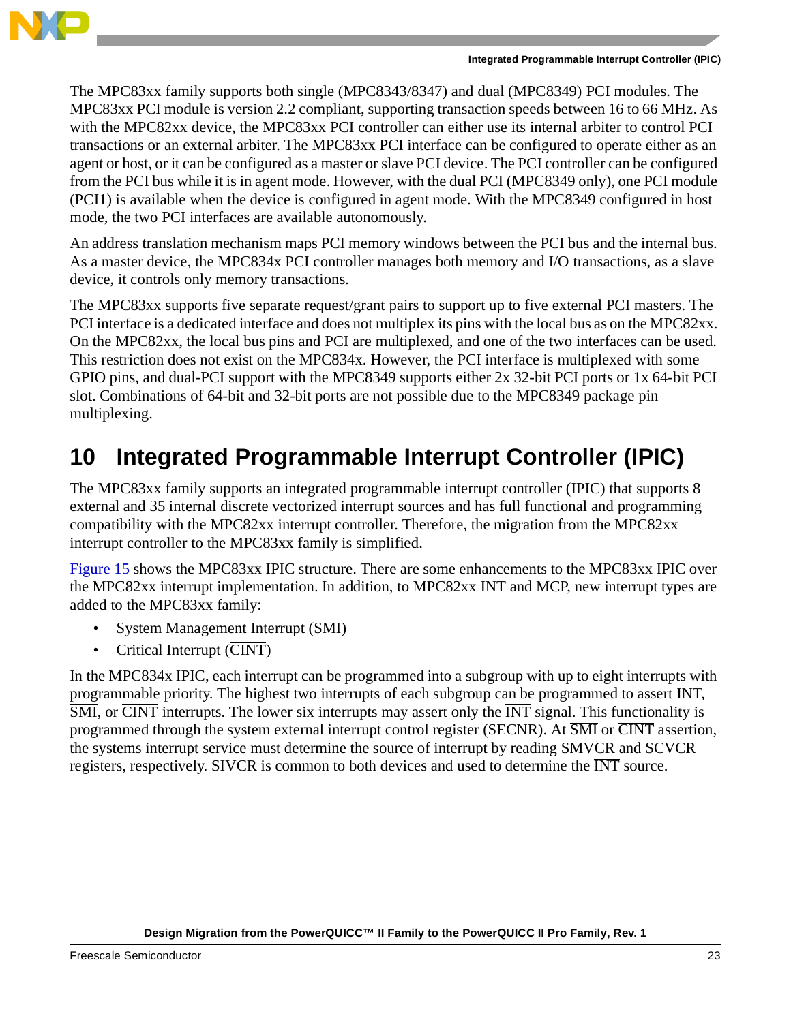

The MPC83xx family supports both single (MPC8343/8347) and dual (MPC8349) PCI modules. The MPC83xx PCI module is version 2.2 compliant, supporting transaction speeds between 16 to 66 MHz. As with the MPC82xx device, the MPC83xx PCI controller can either use its internal arbiter to control PCI transactions or an external arbiter. The MPC83xx PCI interface can be configured to operate either as an agent or host, or it can be configured as a master or slave PCI device. The PCI controller can be configured from the PCI bus while it is in agent mode. However, with the dual PCI (MPC8349 only), one PCI module (PCI1) is available when the device is configured in agent mode. With the MPC8349 configured in host mode, the two PCI interfaces are available autonomously.

An address translation mechanism maps PCI memory windows between the PCI bus and the internal bus. As a master device, the MPC834x PCI controller manages both memory and I/O transactions, as a slave device, it controls only memory transactions.

The MPC83xx supports five separate request/grant pairs to support up to five external PCI masters. The PCI interface is a dedicated interface and does not multiplex its pins with the local bus as on the MPC82xx. On the MPC82xx, the local bus pins and PCI are multiplexed, and one of the two interfaces can be used. This restriction does not exist on the MPC834x. However, the PCI interface is multiplexed with some GPIO pins, and dual-PCI support with the MPC8349 supports either 2x 32-bit PCI ports or 1x 64-bit PCI slot. Combinations of 64-bit and 32-bit ports are not possible due to the MPC8349 package pin multiplexing.

# **10 Integrated Programmable Interrupt Controller (IPIC)**

The MPC83xx family supports an integrated programmable interrupt controller (IPIC) that supports 8 external and 35 internal discrete vectorized interrupt sources and has full functional and programming compatibility with the MPC82xx interrupt controller. Therefore, the migration from the MPC82xx interrupt controller to the MPC83xx family is simplified.

[Figure 15](#page-23-0) shows the MPC83xx IPIC structure. There are some enhancements to the MPC83xx IPIC over the MPC82xx interrupt implementation. In addition, to MPC82xx INT and MCP, new interrupt types are added to the MPC83xx family:

- System Management Interrupt  $(\overline{SMI})$
- Critical Interrupt  $(\overline{\text{CINT}})$

In the MPC834x IPIC, each interrupt can be programmed into a subgroup with up to eight interrupts with programmable priority. The highest two interrupts of each subgroup can be programmed to assert  $\overline{\text{INT}}$ ,  $\overline{\text{SMI}}$ , or  $\overline{\text{CINT}}$  interrupts. The lower six interrupts may assert only the  $\overline{\text{INT}}$  signal. This functionality is programmed through the system external interrupt control register (SECNR). At SMI or CINT assertion, the systems interrupt service must determine the source of interrupt by reading SMVCR and SCVCR registers, respectively. SIVCR is common to both devices and used to determine the INT source.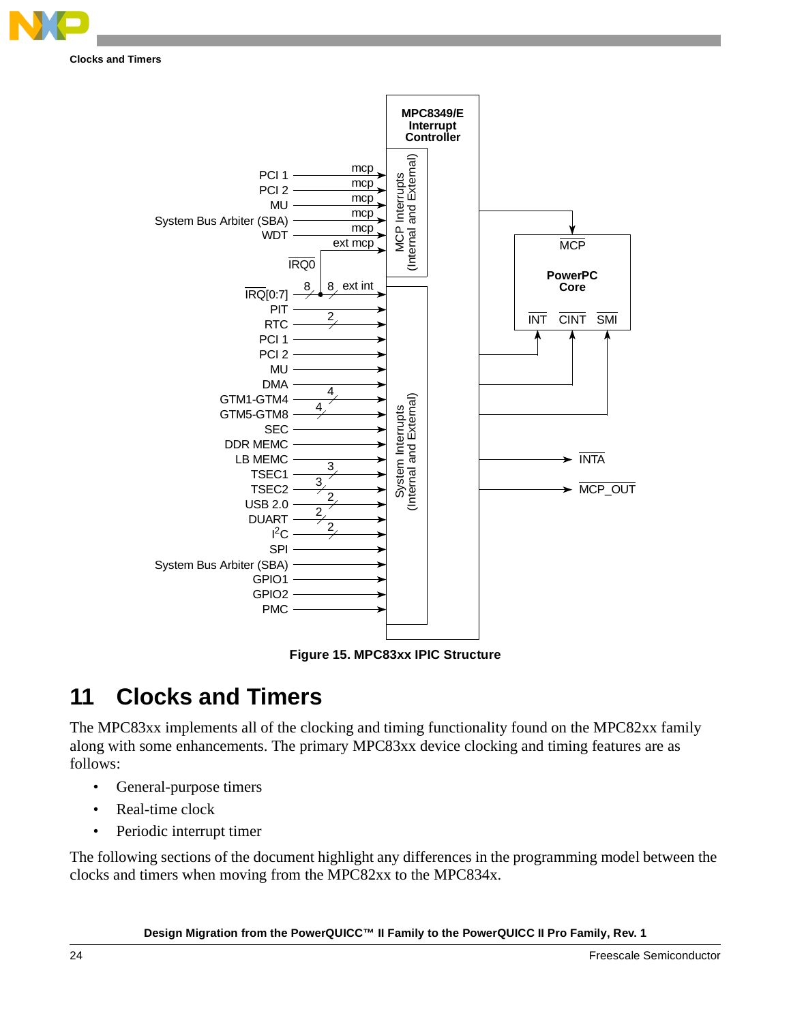

**Clocks and Timers**



**Figure 15. MPC83xx IPIC Structure**

# <span id="page-23-0"></span>**11 Clocks and Timers**

The MPC83xx implements all of the clocking and timing functionality found on the MPC82xx family along with some enhancements. The primary MPC83xx device clocking and timing features are as follows:

- General-purpose timers
- Real-time clock
- Periodic interrupt timer

The following sections of the document highlight any differences in the programming model between the clocks and timers when moving from the MPC82xx to the MPC834x.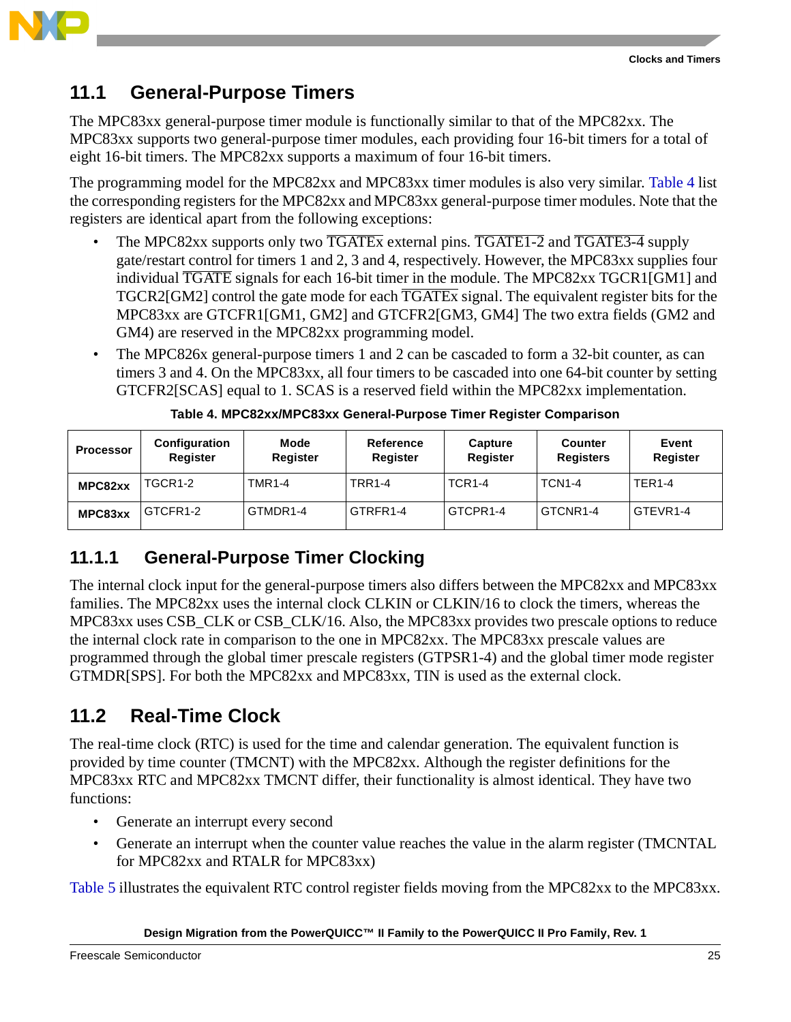

### **11.1 General-Purpose Timers**

The MPC83xx general-purpose timer module is functionally similar to that of the MPC82xx. The MPC83xx supports two general-purpose timer modules, each providing four 16-bit timers for a total of eight 16-bit timers. The MPC82xx supports a maximum of four 16-bit timers.

The programming model for the MPC82xx and MPC83xx timer modules is also very similar. [Table 4](#page-24-0) list the corresponding registers for the MPC82xx and MPC83xx general-purpose timer modules. Note that the registers are identical apart from the following exceptions:

- The MPC82xx supports only two  $\overline{TGATE}$  external pins.  $\overline{TGATE1-2}$  and  $\overline{TGATE3-4}$  supply gate/restart control for timers 1 and 2, 3 and 4, respectively. However, the MPC83xx supplies four individual  $\overline{TGATE}$  signals for each 16-bit timer in the module. The MPC82xx  $TGCR1[GM1]$  and TGCR2[GM2] control the gate mode for each  $\overline{TGATEX}$  signal. The equivalent register bits for the MPC83xx are GTCFR1[GM1, GM2] and GTCFR2[GM3, GM4] The two extra fields (GM2 and GM4) are reserved in the MPC82xx programming model.
- The MPC826x general-purpose timers 1 and 2 can be cascaded to form a 32-bit counter, as can timers 3 and 4. On the MPC83xx, all four timers to be cascaded into one 64-bit counter by setting GTCFR2[SCAS] equal to 1. SCAS is a reserved field within the MPC82xx implementation.

<span id="page-24-0"></span>

| Processor | <b>Configuration</b><br>Register | Mode<br>Register | Reference<br><b>Register</b> | Capture<br><b>Register</b> | Counter<br><b>Registers</b> | Event<br>Register    |
|-----------|----------------------------------|------------------|------------------------------|----------------------------|-----------------------------|----------------------|
| MPC82xx   | TGCR1-2                          | <b>TMR1-4</b>    | <b>TRR1-4</b>                | <b>TCR1-4</b>              | <b>TCN1-4</b>               | <b>TER1-4</b>        |
| MPC83xx   | GTCFR1-2                         | GTMDR1-4         | GTRFR1-4                     | GTCPR1-4                   | GTCNR1-4                    | GTEVR <sub>1-4</sub> |

**Table 4. MPC82xx/MPC83xx General-Purpose Timer Register Comparison**

### **11.1.1 General-Purpose Timer Clocking**

The internal clock input for the general-purpose timers also differs between the MPC82xx and MPC83xx families. The MPC82xx uses the internal clock CLKIN or CLKIN/16 to clock the timers, whereas the MPC83xx uses CSB\_CLK or CSB\_CLK/16. Also, the MPC83xx provides two prescale options to reduce the internal clock rate in comparison to the one in MPC82xx. The MPC83xx prescale values are programmed through the global timer prescale registers (GTPSR1-4) and the global timer mode register GTMDR[SPS]. For both the MPC82xx and MPC83xx, TIN is used as the external clock.

## **11.2 Real-Time Clock**

The real-time clock (RTC) is used for the time and calendar generation. The equivalent function is provided by time counter (TMCNT) with the MPC82xx. Although the register definitions for the MPC83xx RTC and MPC82xx TMCNT differ, their functionality is almost identical. They have two functions:

- Generate an interrupt every second
- Generate an interrupt when the counter value reaches the value in the alarm register (TMCNTAL for MPC82xx and RTALR for MPC83xx)

[Table 5](#page-25-0) illustrates the equivalent RTC control register fields moving from the MPC82xx to the MPC83xx.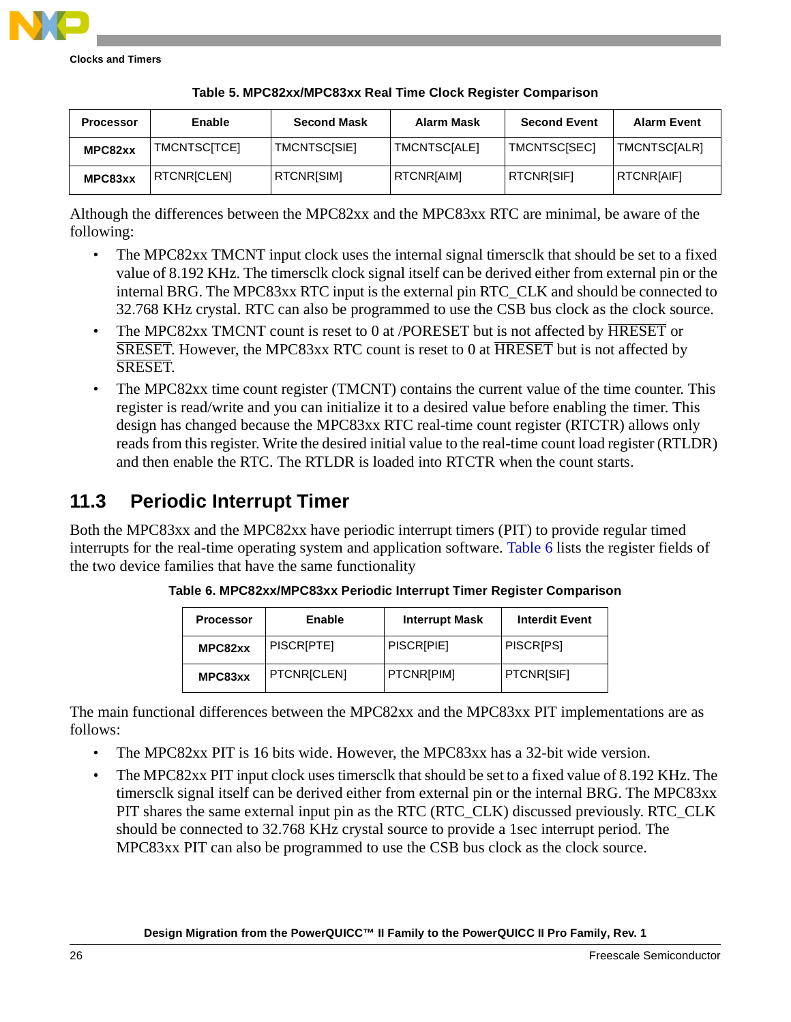<span id="page-25-0"></span>

| <b>Processor</b> | Enable              | <b>Second Mask</b>  | Alarm Mask        | <b>Second Event</b> | <b>Alarm Event</b> |
|------------------|---------------------|---------------------|-------------------|---------------------|--------------------|
| MPC82xx          | <b>TMCNTSCITCE1</b> | <b>TMCNTSC[SIE]</b> | TMCNTSCIALE]      | TMCNTSCISEC1        | TMCNTSCIALR1       |
| MPC83xx          | <b>RTCNRICLENI</b>  | <b>RTCNRISIM1</b>   | <b>RTCNRIAIMI</b> | <b>RTCNRISIFI</b>   | <b>RTCNRIAIFI</b>  |

#### **Table 5. MPC82xx/MPC83xx Real Time Clock Register Comparison**

Although the differences between the MPC82xx and the MPC83xx RTC are minimal, be aware of the following:

- The MPC82xx TMCNT input clock uses the internal signal timersclk that should be set to a fixed value of 8.192 KHz. The timersclk clock signal itself can be derived either from external pin or the internal BRG. The MPC83xx RTC input is the external pin RTC\_CLK and should be connected to 32.768 KHz crystal. RTC can also be programmed to use the CSB bus clock as the clock source.
- The MPC82xx TMCNT count is reset to 0 at /PORESET but is not affected by HRESET or SRESET. However, the MPC83xx RTC count is reset to 0 at HRESET but is not affected by SRESET.
- The MPC82xx time count register (TMCNT) contains the current value of the time counter. This register is read/write and you can initialize it to a desired value before enabling the timer. This design has changed because the MPC83xx RTC real-time count register (RTCTR) allows only reads from this register. Write the desired initial value to the real-time count load register (RTLDR) and then enable the RTC. The RTLDR is loaded into RTCTR when the count starts.

### **11.3 Periodic Interrupt Timer**

<span id="page-25-1"></span>Both the MPC83xx and the MPC82xx have periodic interrupt timers (PIT) to provide regular timed interrupts for the real-time operating system and application software. [Table 6](#page-25-1) lists the register fields of the two device families that have the same functionality

| <b>Processor</b> | Enable             | <b>Interrupt Mask</b> | <b>Interdit Event</b> |
|------------------|--------------------|-----------------------|-----------------------|
| MPC82xx          | PISCRIPTE]         | PISCRIPIE]            | <b>PISCRIPSI</b>      |
| MPC83xx          | <b>PTCNRICLENI</b> | <b>PTCNR[PIM]</b>     | PTCNRISIF1            |

**Table 6. MPC82xx/MPC83xx Periodic Interrupt Timer Register Comparison**

The main functional differences between the MPC82xx and the MPC83xx PIT implementations are as follows:

- The MPC82xx PIT is 16 bits wide. However, the MPC83xx has a 32-bit wide version.
- The MPC82xx PIT input clock uses timersclk that should be set to a fixed value of 8.192 KHz. The timersclk signal itself can be derived either from external pin or the internal BRG. The MPC83xx PIT shares the same external input pin as the RTC (RTC\_CLK) discussed previously. RTC\_CLK should be connected to 32.768 KHz crystal source to provide a 1sec interrupt period. The MPC83xx PIT can also be programmed to use the CSB bus clock as the clock source.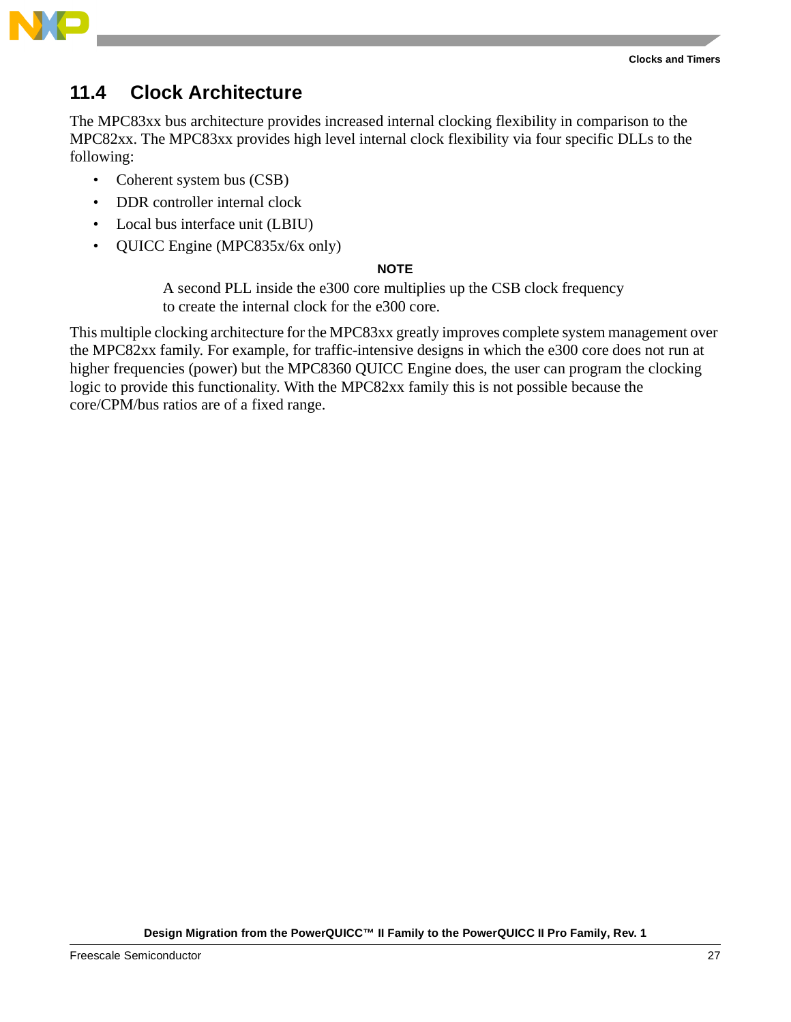

### **11.4 Clock Architecture**

The MPC83xx bus architecture provides increased internal clocking flexibility in comparison to the MPC82xx. The MPC83xx provides high level internal clock flexibility via four specific DLLs to the following:

- Coherent system bus (CSB)
- DDR controller internal clock
- Local bus interface unit (LBIU)
- QUICC Engine (MPC835x/6x only)

### **NOTE**

A second PLL inside the e300 core multiplies up the CSB clock frequency to create the internal clock for the e300 core.

This multiple clocking architecture for the MPC83xx greatly improves complete system management over the MPC82xx family. For example, for traffic-intensive designs in which the e300 core does not run at higher frequencies (power) but the MPC8360 QUICC Engine does, the user can program the clocking logic to provide this functionality. With the MPC82xx family this is not possible because the core/CPM/bus ratios are of a fixed range.